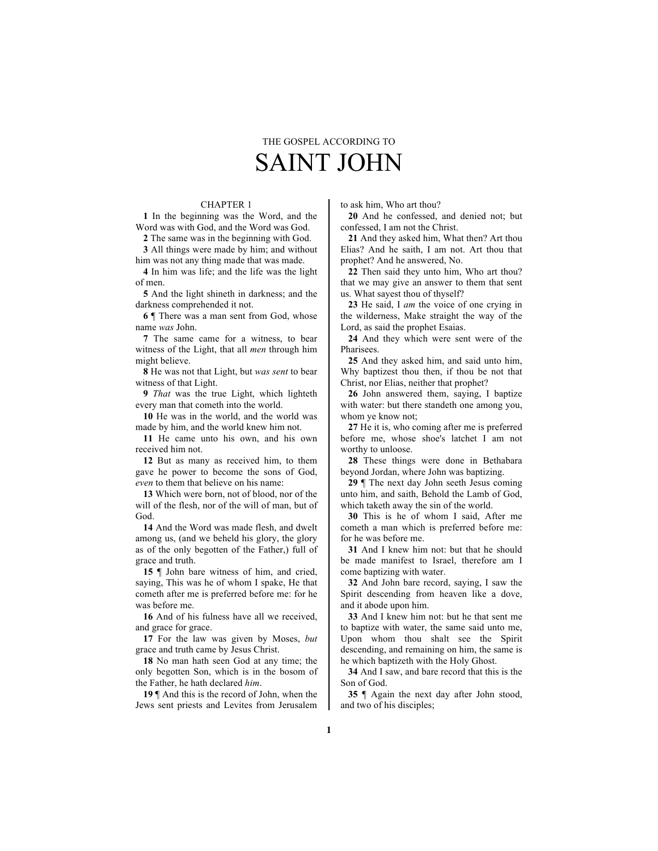# THE GOSPEL ACCORDING TO SAINT JOHN

# CHAPTER 1

**1** In the beginning was the Word, and the Word was with God, and the Word was God.

**2** The same was in the beginning with God.

**3** All things were made by him; and without him was not any thing made that was made.

**4** In him was life; and the life was the light of men.

**5** And the light shineth in darkness; and the darkness comprehended it not.

**6** ¶ There was a man sent from God, whose name *was* John.

**7** The same came for a witness, to bear witness of the Light, that all *men* through him might believe.

**8** He was not that Light, but *was sent* to bear witness of that Light.

**9** *That* was the true Light, which lighteth every man that cometh into the world.

**10** He was in the world, and the world was made by him, and the world knew him not.

**11** He came unto his own, and his own received him not.

**12** But as many as received him, to them gave he power to become the sons of God, *even* to them that believe on his name:

**13** Which were born, not of blood, nor of the will of the flesh, nor of the will of man, but of God.

**14** And the Word was made flesh, and dwelt among us, (and we beheld his glory, the glory as of the only begotten of the Father,) full of grace and truth.

15  $\parallel$  John bare witness of him, and cried, saying, This was he of whom I spake, He that cometh after me is preferred before me: for he was before me.

**16** And of his fulness have all we received, and grace for grace.

**17** For the law was given by Moses, *but* grace and truth came by Jesus Christ.

**18** No man hath seen God at any time; the only begotten Son, which is in the bosom of the Father, he hath declared *him*.

**19** ¶ And this is the record of John, when the Jews sent priests and Levites from Jerusalem to ask him, Who art thou?

**20** And he confessed, and denied not; but confessed, I am not the Christ.

**21** And they asked him, What then? Art thou Elias? And he saith, I am not. Art thou that prophet? And he answered, No.

**22** Then said they unto him, Who art thou? that we may give an answer to them that sent us. What sayest thou of thyself?

**23** He said, I *am* the voice of one crying in the wilderness, Make straight the way of the Lord, as said the prophet Esaias.

**24** And they which were sent were of the Pharisees.

**25** And they asked him, and said unto him, Why baptizest thou then, if thou be not that Christ, nor Elias, neither that prophet?

**26** John answered them, saying, I baptize with water: but there standeth one among you, whom ye know not;

**27** He it is, who coming after me is preferred before me, whose shoe's latchet I am not worthy to unloose.

**28** These things were done in Bethabara beyond Jordan, where John was baptizing.

**29** ¶ The next day John seeth Jesus coming unto him, and saith, Behold the Lamb of God, which taketh away the sin of the world.

**30** This is he of whom I said, After me cometh a man which is preferred before me: for he was before me.

**31** And I knew him not: but that he should be made manifest to Israel, therefore am I come baptizing with water.

**32** And John bare record, saying, I saw the Spirit descending from heaven like a dove, and it abode upon him.

**33** And I knew him not: but he that sent me to baptize with water, the same said unto me, Upon whom thou shalt see the Spirit descending, and remaining on him, the same is he which baptizeth with the Holy Ghost.

**34** And I saw, and bare record that this is the Son of God.

**35** ¶ Again the next day after John stood, and two of his disciples;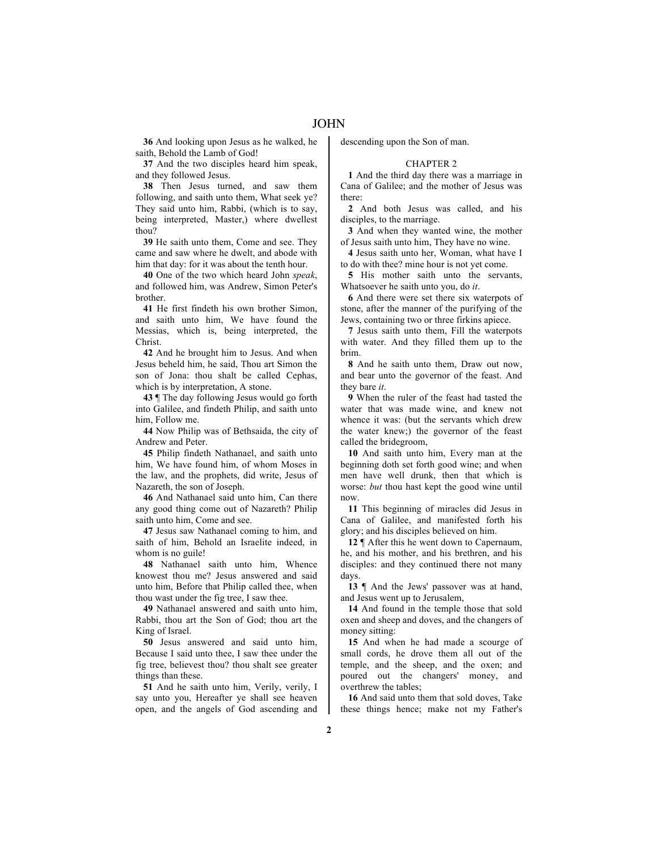**36** And looking upon Jesus as he walked, he saith, Behold the Lamb of God!

**37** And the two disciples heard him speak, and they followed Jesus.

**38** Then Jesus turned, and saw them following, and saith unto them, What seek ye? They said unto him, Rabbi, (which is to say, being interpreted, Master,) where dwellest thou?

**39** He saith unto them, Come and see. They came and saw where he dwelt, and abode with him that day: for it was about the tenth hour.

**40** One of the two which heard John *speak*, and followed him, was Andrew, Simon Peter's brother.

**41** He first findeth his own brother Simon, and saith unto him, We have found the Messias, which is, being interpreted, the Christ.

**42** And he brought him to Jesus. And when Jesus beheld him, he said, Thou art Simon the son of Jona: thou shalt be called Cephas, which is by interpretation, A stone.

**43** ¶ The day following Jesus would go forth into Galilee, and findeth Philip, and saith unto him, Follow me.

**44** Now Philip was of Bethsaida, the city of Andrew and Peter.

**45** Philip findeth Nathanael, and saith unto him, We have found him, of whom Moses in the law, and the prophets, did write, Jesus of Nazareth, the son of Joseph.

**46** And Nathanael said unto him, Can there any good thing come out of Nazareth? Philip saith unto him, Come and see.

**47** Jesus saw Nathanael coming to him, and saith of him, Behold an Israelite indeed, in whom is no guile!

**48** Nathanael saith unto him, Whence knowest thou me? Jesus answered and said unto him, Before that Philip called thee, when thou wast under the fig tree, I saw thee.

**49** Nathanael answered and saith unto him, Rabbi, thou art the Son of God; thou art the King of Israel.

**50** Jesus answered and said unto him, Because I said unto thee, I saw thee under the fig tree, believest thou? thou shalt see greater things than these.

**51** And he saith unto him, Verily, verily, I say unto you, Hereafter ye shall see heaven open, and the angels of God ascending and descending upon the Son of man.

## CHAPTER 2

**1** And the third day there was a marriage in Cana of Galilee; and the mother of Jesus was there:

**2** And both Jesus was called, and his disciples, to the marriage.

**3** And when they wanted wine, the mother of Jesus saith unto him, They have no wine.

**4** Jesus saith unto her, Woman, what have I to do with thee? mine hour is not yet come.

**5** His mother saith unto the servants, Whatsoever he saith unto you, do *it*.

**6** And there were set there six waterpots of stone, after the manner of the purifying of the Jews, containing two or three firkins apiece.

**7** Jesus saith unto them, Fill the waterpots with water. And they filled them up to the brim.

**8** And he saith unto them, Draw out now, and bear unto the governor of the feast. And they bare *it*.

**9** When the ruler of the feast had tasted the water that was made wine, and knew not whence it was: (but the servants which drew the water knew;) the governor of the feast called the bridegroom,

**10** And saith unto him, Every man at the beginning doth set forth good wine; and when men have well drunk, then that which is worse: *but* thou hast kept the good wine until now.

**11** This beginning of miracles did Jesus in Cana of Galilee, and manifested forth his glory; and his disciples believed on him.

**12** ¶ After this he went down to Capernaum, he, and his mother, and his brethren, and his disciples: and they continued there not many days.

**13** ¶ And the Jews' passover was at hand, and Jesus went up to Jerusalem,

**14** And found in the temple those that sold oxen and sheep and doves, and the changers of money sitting:

**15** And when he had made a scourge of small cords, he drove them all out of the temple, and the sheep, and the oxen; and poured out the changers' money, and overthrew the tables;

**16** And said unto them that sold doves, Take these things hence; make not my Father's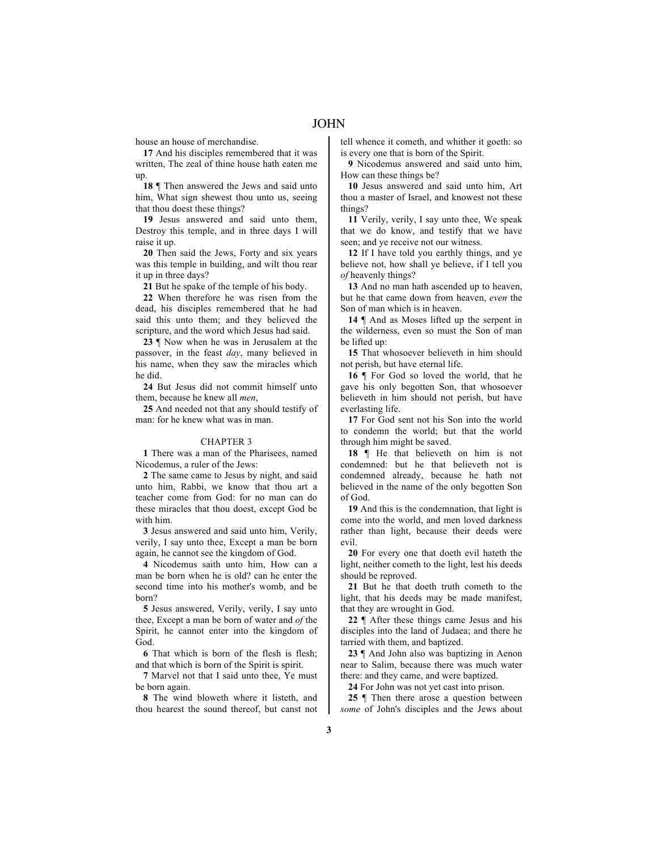house an house of merchandise.

**17** And his disciples remembered that it was written, The zeal of thine house hath eaten me up.

**18** ¶ Then answered the Jews and said unto him, What sign shewest thou unto us, seeing that thou doest these things?

**19** Jesus answered and said unto them, Destroy this temple, and in three days I will raise it up.

**20** Then said the Jews, Forty and six years was this temple in building, and wilt thou rear it up in three days?

**21** But he spake of the temple of his body.

**22** When therefore he was risen from the dead, his disciples remembered that he had said this unto them; and they believed the scripture, and the word which Jesus had said.

**23** ¶ Now when he was in Jerusalem at the passover, in the feast *day*, many believed in his name, when they saw the miracles which he did.

**24** But Jesus did not commit himself unto them, because he knew all *men*,

**25** And needed not that any should testify of man: for he knew what was in man.

#### CHAPTER 3

**1** There was a man of the Pharisees, named Nicodemus, a ruler of the Jews:

**2** The same came to Jesus by night, and said unto him, Rabbi, we know that thou art a teacher come from God: for no man can do these miracles that thou doest, except God be with him.

**3** Jesus answered and said unto him, Verily, verily, I say unto thee, Except a man be born again, he cannot see the kingdom of God.

**4** Nicodemus saith unto him, How can a man be born when he is old? can he enter the second time into his mother's womb, and be born?

**5** Jesus answered, Verily, verily, I say unto thee, Except a man be born of water and *of* the Spirit, he cannot enter into the kingdom of God.

**6** That which is born of the flesh is flesh; and that which is born of the Spirit is spirit.

**7** Marvel not that I said unto thee, Ye must be born again.

**8** The wind bloweth where it listeth, and thou hearest the sound thereof, but canst not tell whence it cometh, and whither it goeth: so is every one that is born of the Spirit.

**9** Nicodemus answered and said unto him, How can these things be?

**10** Jesus answered and said unto him, Art thou a master of Israel, and knowest not these things?

**11** Verily, verily, I say unto thee, We speak that we do know, and testify that we have seen; and ye receive not our witness.

**12** If I have told you earthly things, and ye believe not, how shall ye believe, if I tell you *of* heavenly things?

**13** And no man hath ascended up to heaven, but he that came down from heaven, *even* the Son of man which is in heaven.

**14** ¶ And as Moses lifted up the serpent in the wilderness, even so must the Son of man be lifted up:

**15** That whosoever believeth in him should not perish, but have eternal life.

16  $\parallel$  For God so loved the world, that he gave his only begotten Son, that whosoever believeth in him should not perish, but have everlasting life.

**17** For God sent not his Son into the world to condemn the world; but that the world through him might be saved.

**18** ¶ He that believeth on him is not condemned: but he that believeth not is condemned already, because he hath not believed in the name of the only begotten Son of God.

**19** And this is the condemnation, that light is come into the world, and men loved darkness rather than light, because their deeds were evil.

**20** For every one that doeth evil hateth the light, neither cometh to the light, lest his deeds should be reproved.

**21** But he that doeth truth cometh to the light, that his deeds may be made manifest, that they are wrought in God.

**22** ¶ After these things came Jesus and his disciples into the land of Judaea; and there he tarried with them, and baptized.

**23** ¶ And John also was baptizing in Aenon near to Salim, because there was much water there: and they came, and were baptized.

**24** For John was not yet cast into prison.

**25** ¶ Then there arose a question between *some* of John's disciples and the Jews about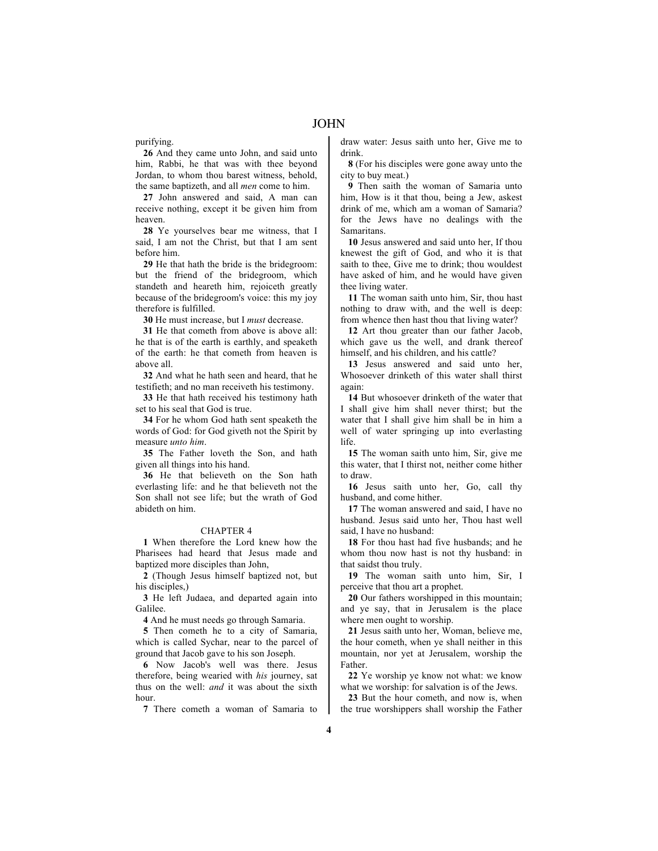purifying.

**26** And they came unto John, and said unto him, Rabbi, he that was with thee beyond Jordan, to whom thou barest witness, behold, the same baptizeth, and all *men* come to him.

**27** John answered and said, A man can receive nothing, except it be given him from heaven.

**28** Ye yourselves bear me witness, that I said, I am not the Christ, but that I am sent before him.

**29** He that hath the bride is the bridegroom: but the friend of the bridegroom, which standeth and heareth him, rejoiceth greatly because of the bridegroom's voice: this my joy therefore is fulfilled.

**30** He must increase, but I *must* decrease.

**31** He that cometh from above is above all: he that is of the earth is earthly, and speaketh of the earth: he that cometh from heaven is above all.

**32** And what he hath seen and heard, that he testifieth; and no man receiveth his testimony.

**33** He that hath received his testimony hath set to his seal that God is true.

**34** For he whom God hath sent speaketh the words of God: for God giveth not the Spirit by measure *unto him*.

**35** The Father loveth the Son, and hath given all things into his hand.

**36** He that believeth on the Son hath everlasting life: and he that believeth not the Son shall not see life; but the wrath of God abideth on him.

## CHAPTER 4

**1** When therefore the Lord knew how the Pharisees had heard that Jesus made and baptized more disciples than John,

**2** (Though Jesus himself baptized not, but his disciples,)

**3** He left Judaea, and departed again into Galilee.

**4** And he must needs go through Samaria.

**5** Then cometh he to a city of Samaria, which is called Sychar, near to the parcel of ground that Jacob gave to his son Joseph.

**6** Now Jacob's well was there. Jesus therefore, being wearied with *his* journey, sat thus on the well: *and* it was about the sixth hour.

**7** There cometh a woman of Samaria to

draw water: Jesus saith unto her, Give me to drink.

**8** (For his disciples were gone away unto the city to buy meat.)

**9** Then saith the woman of Samaria unto him, How is it that thou, being a Jew, askest drink of me, which am a woman of Samaria? for the Jews have no dealings with the Samaritans.

**10** Jesus answered and said unto her, If thou knewest the gift of God, and who it is that saith to thee, Give me to drink; thou wouldest have asked of him, and he would have given thee living water.

**11** The woman saith unto him, Sir, thou hast nothing to draw with, and the well is deep: from whence then hast thou that living water?

**12** Art thou greater than our father Jacob, which gave us the well, and drank thereof himself, and his children, and his cattle?

**13** Jesus answered and said unto her, Whosoever drinketh of this water shall thirst again:

**14** But whosoever drinketh of the water that I shall give him shall never thirst; but the water that I shall give him shall be in him a well of water springing up into everlasting life.

**15** The woman saith unto him, Sir, give me this water, that I thirst not, neither come hither to draw.

**16** Jesus saith unto her, Go, call thy husband, and come hither.

**17** The woman answered and said, I have no husband. Jesus said unto her, Thou hast well said, I have no husband:

**18** For thou hast had five husbands; and he whom thou now hast is not thy husband: in that saidst thou truly.

**19** The woman saith unto him, Sir, I perceive that thou art a prophet.

**20** Our fathers worshipped in this mountain; and ye say, that in Jerusalem is the place where men ought to worship.

**21** Jesus saith unto her, Woman, believe me, the hour cometh, when ye shall neither in this mountain, nor yet at Jerusalem, worship the Father.

**22** Ye worship ye know not what: we know what we worship: for salvation is of the Jews.

**23** But the hour cometh, and now is, when the true worshippers shall worship the Father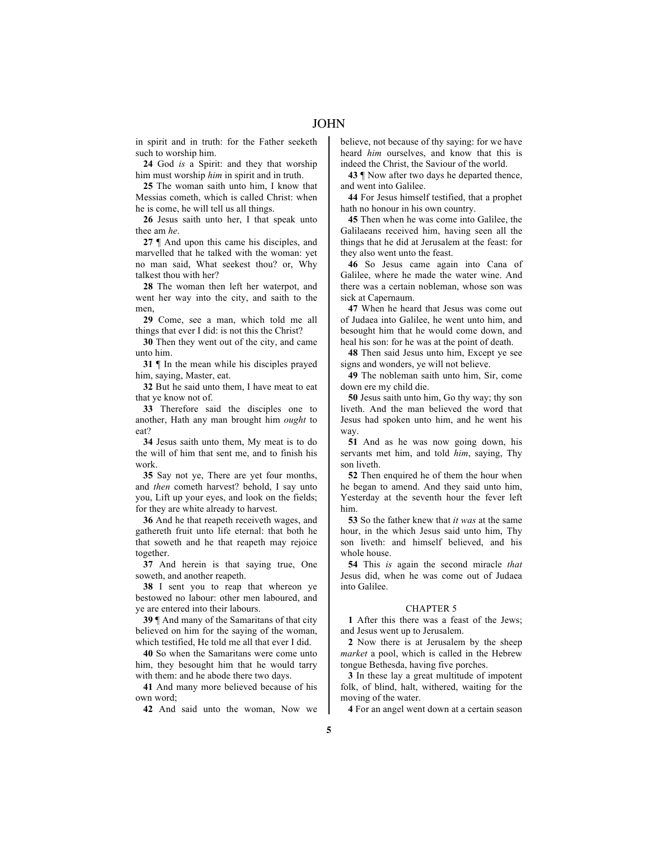in spirit and in truth: for the Father seeketh such to worship him.

**24** God *is* a Spirit: and they that worship him must worship *him* in spirit and in truth.

**25** The woman saith unto him, I know that Messias cometh, which is called Christ: when he is come, he will tell us all things.

**26** Jesus saith unto her, I that speak unto thee am *he*.

**27** ¶ And upon this came his disciples, and marvelled that he talked with the woman: yet no man said, What seekest thou? or, Why talkest thou with her?

**28** The woman then left her waterpot, and went her way into the city, and saith to the men,

**29** Come, see a man, which told me all things that ever I did: is not this the Christ?

**30** Then they went out of the city, and came unto him.

**31** ¶ In the mean while his disciples prayed him, saying, Master, eat.

**32** But he said unto them, I have meat to eat that ye know not of.

**33** Therefore said the disciples one to another, Hath any man brought him *ought* to eat?

**34** Jesus saith unto them, My meat is to do the will of him that sent me, and to finish his work.

**35** Say not ye, There are yet four months, and *then* cometh harvest? behold, I say unto you, Lift up your eyes, and look on the fields; for they are white already to harvest.

**36** And he that reapeth receiveth wages, and gathereth fruit unto life eternal: that both he that soweth and he that reapeth may rejoice together.

**37** And herein is that saying true, One soweth, and another reapeth.

**38** I sent you to reap that whereon ye bestowed no labour: other men laboured, and ye are entered into their labours.

**39** ¶ And many of the Samaritans of that city believed on him for the saying of the woman, which testified, He told me all that ever I did.

**40** So when the Samaritans were come unto him, they besought him that he would tarry with them: and he abode there two days.

**41** And many more believed because of his own word;

**42** And said unto the woman, Now we

believe, not because of thy saying: for we have heard *him* ourselves, and know that this is indeed the Christ, the Saviour of the world.

**43** ¶ Now after two days he departed thence, and went into Galilee.

**44** For Jesus himself testified, that a prophet hath no honour in his own country.

**45** Then when he was come into Galilee, the Galilaeans received him, having seen all the things that he did at Jerusalem at the feast: for they also went unto the feast.

**46** So Jesus came again into Cana of Galilee, where he made the water wine. And there was a certain nobleman, whose son was sick at Capernaum.

**47** When he heard that Jesus was come out of Judaea into Galilee, he went unto him, and besought him that he would come down, and heal his son: for he was at the point of death.

**48** Then said Jesus unto him, Except ye see signs and wonders, ye will not believe.

**49** The nobleman saith unto him, Sir, come down ere my child die.

**50** Jesus saith unto him, Go thy way; thy son liveth. And the man believed the word that Jesus had spoken unto him, and he went his way.

**51** And as he was now going down, his servants met him, and told *him*, saying, Thy son liveth.

**52** Then enquired he of them the hour when he began to amend. And they said unto him, Yesterday at the seventh hour the fever left him.

**53** So the father knew that *it was* at the same hour, in the which Jesus said unto him, Thy son liveth: and himself believed, and his whole house.

**54** This *is* again the second miracle *that* Jesus did, when he was come out of Judaea into Galilee.

## CHAPTER 5

**1** After this there was a feast of the Jews; and Jesus went up to Jerusalem.

**2** Now there is at Jerusalem by the sheep *market* a pool, which is called in the Hebrew tongue Bethesda, having five porches.

**3** In these lay a great multitude of impotent folk, of blind, halt, withered, waiting for the moving of the water.

**4** For an angel went down at a certain season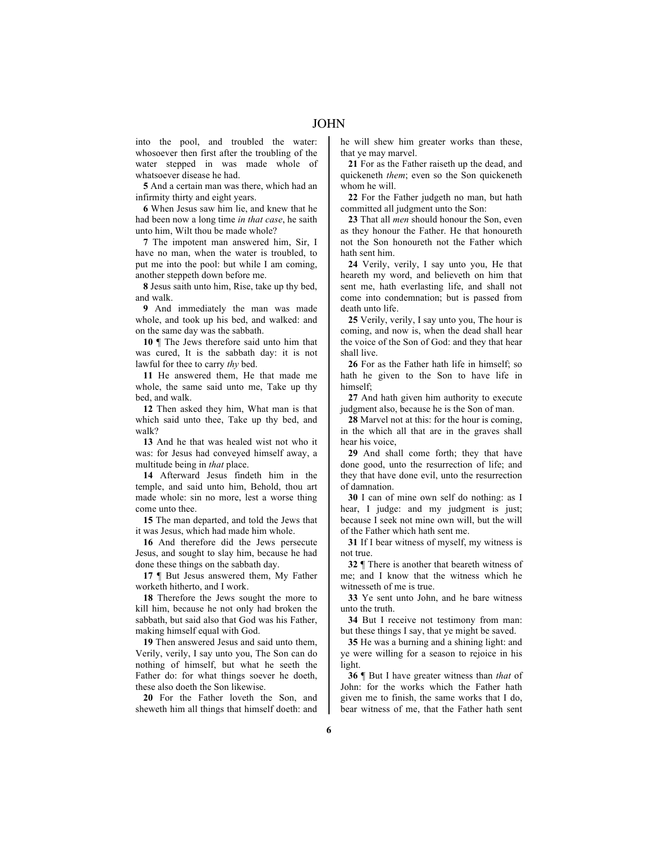into the pool, and troubled the water: whosoever then first after the troubling of the water stepped in was made whole of whatsoever disease he had.

**5** And a certain man was there, which had an infirmity thirty and eight years.

**6** When Jesus saw him lie, and knew that he had been now a long time *in that case*, he saith unto him, Wilt thou be made whole?

**7** The impotent man answered him, Sir, I have no man, when the water is troubled, to put me into the pool: but while I am coming, another steppeth down before me.

**8** Jesus saith unto him, Rise, take up thy bed, and walk.

**9** And immediately the man was made whole, and took up his bed, and walked: and on the same day was the sabbath.

**10** ¶ The Jews therefore said unto him that was cured, It is the sabbath day: it is not lawful for thee to carry *thy* bed.

**11** He answered them, He that made me whole, the same said unto me, Take up thy bed, and walk.

**12** Then asked they him, What man is that which said unto thee, Take up thy bed, and walk?

**13** And he that was healed wist not who it was: for Jesus had conveyed himself away, a multitude being in *that* place.

**14** Afterward Jesus findeth him in the temple, and said unto him, Behold, thou art made whole: sin no more, lest a worse thing come unto thee.

**15** The man departed, and told the Jews that it was Jesus, which had made him whole.

**16** And therefore did the Jews persecute Jesus, and sought to slay him, because he had done these things on the sabbath day.

**17** ¶ But Jesus answered them, My Father worketh hitherto, and I work.

**18** Therefore the Jews sought the more to kill him, because he not only had broken the sabbath, but said also that God was his Father, making himself equal with God.

**19** Then answered Jesus and said unto them, Verily, verily, I say unto you, The Son can do nothing of himself, but what he seeth the Father do: for what things soever he doeth, these also doeth the Son likewise.

**20** For the Father loveth the Son, and sheweth him all things that himself doeth: and he will shew him greater works than these, that ye may marvel.

**21** For as the Father raiseth up the dead, and quickeneth *them*; even so the Son quickeneth whom he will.

**22** For the Father judgeth no man, but hath committed all judgment unto the Son:

**23** That all *men* should honour the Son, even as they honour the Father. He that honoureth not the Son honoureth not the Father which hath sent him.

**24** Verily, verily, I say unto you, He that heareth my word, and believeth on him that sent me, hath everlasting life, and shall not come into condemnation; but is passed from death unto life.

**25** Verily, verily, I say unto you, The hour is coming, and now is, when the dead shall hear the voice of the Son of God: and they that hear shall live.

**26** For as the Father hath life in himself; so hath he given to the Son to have life in himself;

**27** And hath given him authority to execute judgment also, because he is the Son of man.

**28** Marvel not at this: for the hour is coming, in the which all that are in the graves shall hear his voice,

**29** And shall come forth; they that have done good, unto the resurrection of life; and they that have done evil, unto the resurrection of damnation.

**30** I can of mine own self do nothing: as I hear, I judge: and my judgment is just; because I seek not mine own will, but the will of the Father which hath sent me.

**31** If I bear witness of myself, my witness is not true.

**32** ¶ There is another that beareth witness of me; and I know that the witness which he witnesseth of me is true.

**33** Ye sent unto John, and he bare witness unto the truth.

**34** But I receive not testimony from man: but these things I say, that ye might be saved.

**35** He was a burning and a shining light: and ye were willing for a season to rejoice in his light.

**36** ¶ But I have greater witness than *that* of John: for the works which the Father hath given me to finish, the same works that I do, bear witness of me, that the Father hath sent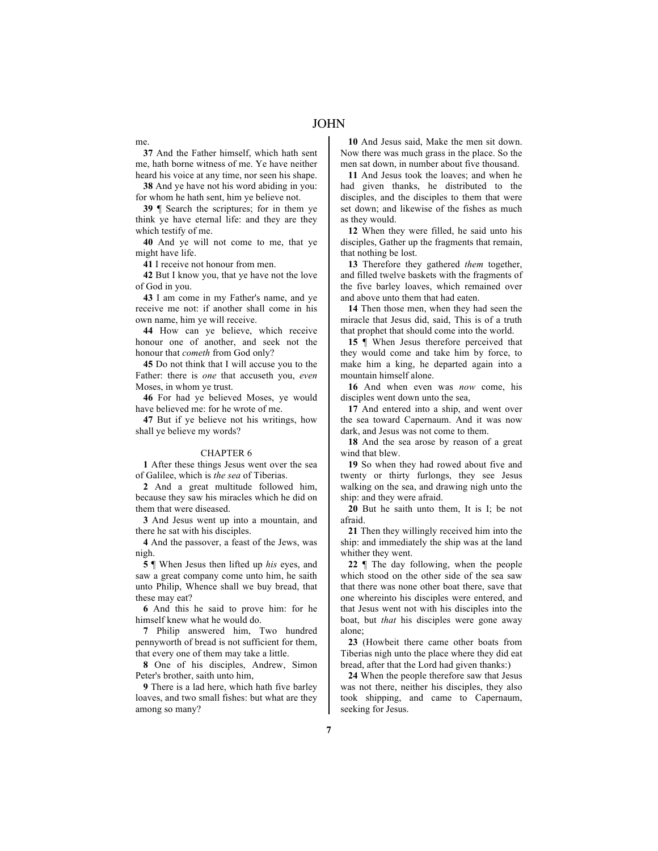me.

**37** And the Father himself, which hath sent me, hath borne witness of me. Ye have neither heard his voice at any time, nor seen his shape.

**38** And ye have not his word abiding in you: for whom he hath sent, him ye believe not.

**39** ¶ Search the scriptures; for in them ye think ye have eternal life: and they are they which testify of me.

**40** And ye will not come to me, that ye might have life.

**41** I receive not honour from men.

**42** But I know you, that ye have not the love of God in you.

**43** I am come in my Father's name, and ye receive me not: if another shall come in his own name, him ye will receive.

**44** How can ye believe, which receive honour one of another, and seek not the honour that *cometh* from God only?

**45** Do not think that I will accuse you to the Father: there is *one* that accuseth you, *even* Moses, in whom ye trust.

**46** For had ye believed Moses, ye would have believed me: for he wrote of me.

**47** But if ye believe not his writings, how shall ye believe my words?

## CHAPTER 6

**1** After these things Jesus went over the sea of Galilee, which is *the sea* of Tiberias.

**2** And a great multitude followed him, because they saw his miracles which he did on them that were diseased.

**3** And Jesus went up into a mountain, and there he sat with his disciples.

**4** And the passover, a feast of the Jews, was nigh.

**5** ¶ When Jesus then lifted up *his* eyes, and saw a great company come unto him, he saith unto Philip, Whence shall we buy bread, that these may eat?

**6** And this he said to prove him: for he himself knew what he would do.

**7** Philip answered him, Two hundred pennyworth of bread is not sufficient for them, that every one of them may take a little.

**8** One of his disciples, Andrew, Simon Peter's brother, saith unto him,

**9** There is a lad here, which hath five barley loaves, and two small fishes: but what are they among so many?

**10** And Jesus said, Make the men sit down. Now there was much grass in the place. So the men sat down, in number about five thousand.

**11** And Jesus took the loaves; and when he had given thanks, he distributed to the disciples, and the disciples to them that were set down; and likewise of the fishes as much as they would.

**12** When they were filled, he said unto his disciples, Gather up the fragments that remain, that nothing be lost.

**13** Therefore they gathered *them* together, and filled twelve baskets with the fragments of the five barley loaves, which remained over and above unto them that had eaten.

**14** Then those men, when they had seen the miracle that Jesus did, said, This is of a truth that prophet that should come into the world.

15  $\parallel$  When Jesus therefore perceived that they would come and take him by force, to make him a king, he departed again into a mountain himself alone.

**16** And when even was *now* come, his disciples went down unto the sea,

**17** And entered into a ship, and went over the sea toward Capernaum. And it was now dark, and Jesus was not come to them.

**18** And the sea arose by reason of a great wind that blew.

**19** So when they had rowed about five and twenty or thirty furlongs, they see Jesus walking on the sea, and drawing nigh unto the ship: and they were afraid.

**20** But he saith unto them, It is I; be not afraid.

**21** Then they willingly received him into the ship: and immediately the ship was at the land whither they went.

**22** ¶ The day following, when the people which stood on the other side of the sea saw that there was none other boat there, save that one whereinto his disciples were entered, and that Jesus went not with his disciples into the boat, but *that* his disciples were gone away alone;

**23** (Howbeit there came other boats from Tiberias nigh unto the place where they did eat bread, after that the Lord had given thanks:)

**24** When the people therefore saw that Jesus was not there, neither his disciples, they also took shipping, and came to Capernaum, seeking for Jesus.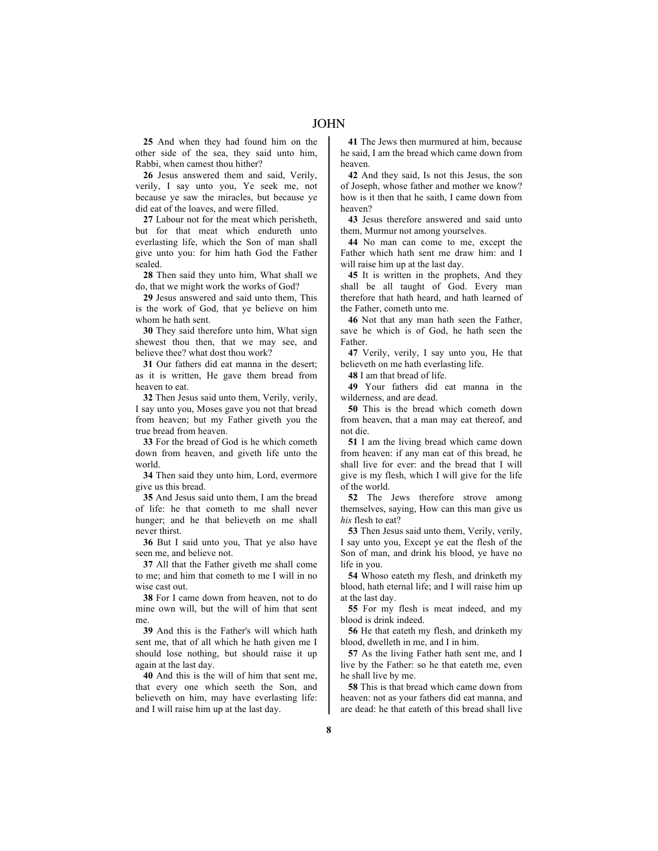**25** And when they had found him on the other side of the sea, they said unto him, Rabbi, when camest thou hither?

**26** Jesus answered them and said, Verily, verily, I say unto you, Ye seek me, not because ye saw the miracles, but because ye did eat of the loaves, and were filled.

**27** Labour not for the meat which perisheth, but for that meat which endureth unto everlasting life, which the Son of man shall give unto you: for him hath God the Father sealed.

**28** Then said they unto him, What shall we do, that we might work the works of God?

**29** Jesus answered and said unto them, This is the work of God, that ye believe on him whom he hath sent.

**30** They said therefore unto him, What sign shewest thou then, that we may see, and believe thee? what dost thou work?

**31** Our fathers did eat manna in the desert; as it is written, He gave them bread from heaven to eat.

**32** Then Jesus said unto them, Verily, verily, I say unto you, Moses gave you not that bread from heaven; but my Father giveth you the true bread from heaven.

**33** For the bread of God is he which cometh down from heaven, and giveth life unto the world.

**34** Then said they unto him, Lord, evermore give us this bread.

**35** And Jesus said unto them, I am the bread of life: he that cometh to me shall never hunger; and he that believeth on me shall never thirst.

**36** But I said unto you, That ye also have seen me, and believe not.

**37** All that the Father giveth me shall come to me; and him that cometh to me I will in no wise cast out.

**38** For I came down from heaven, not to do mine own will, but the will of him that sent me.

**39** And this is the Father's will which hath sent me, that of all which he hath given me I should lose nothing, but should raise it up again at the last day.

**40** And this is the will of him that sent me, that every one which seeth the Son, and believeth on him, may have everlasting life: and I will raise him up at the last day.

**41** The Jews then murmured at him, because he said, I am the bread which came down from heaven.

**42** And they said, Is not this Jesus, the son of Joseph, whose father and mother we know? how is it then that he saith, I came down from heaven?

**43** Jesus therefore answered and said unto them, Murmur not among yourselves.

**44** No man can come to me, except the Father which hath sent me draw him: and I will raise him up at the last day.

**45** It is written in the prophets, And they shall be all taught of God. Every man therefore that hath heard, and hath learned of the Father, cometh unto me.

**46** Not that any man hath seen the Father, save he which is of God, he hath seen the Father.

**47** Verily, verily, I say unto you, He that believeth on me hath everlasting life.

**48** I am that bread of life.

**49** Your fathers did eat manna in the wilderness, and are dead.

**50** This is the bread which cometh down from heaven, that a man may eat thereof, and not die.

**51** I am the living bread which came down from heaven: if any man eat of this bread, he shall live for ever: and the bread that I will give is my flesh, which I will give for the life of the world.

**52** The Jews therefore strove among themselves, saying, How can this man give us *his* flesh to eat?

**53** Then Jesus said unto them, Verily, verily, I say unto you, Except ye eat the flesh of the Son of man, and drink his blood, ye have no life in you.

**54** Whoso eateth my flesh, and drinketh my blood, hath eternal life; and I will raise him up at the last day.

**55** For my flesh is meat indeed, and my blood is drink indeed.

**56** He that eateth my flesh, and drinketh my blood, dwelleth in me, and I in him.

**57** As the living Father hath sent me, and I live by the Father: so he that eateth me, even he shall live by me.

**58** This is that bread which came down from heaven: not as your fathers did eat manna, and are dead: he that eateth of this bread shall live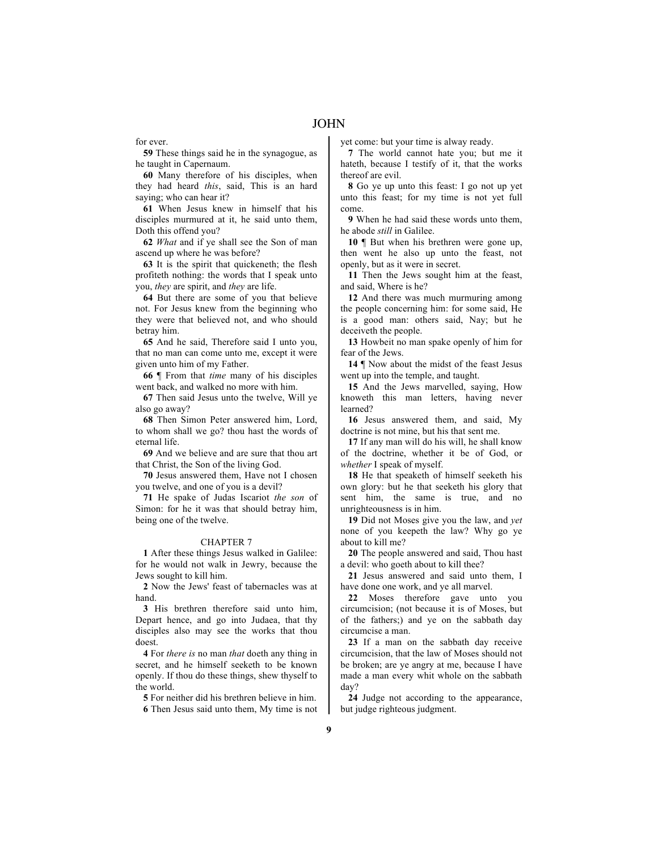for ever.

**59** These things said he in the synagogue, as he taught in Capernaum.

**60** Many therefore of his disciples, when they had heard *this*, said, This is an hard saying; who can hear it?

**61** When Jesus knew in himself that his disciples murmured at it, he said unto them, Doth this offend you?

**62** *What* and if ye shall see the Son of man ascend up where he was before?

**63** It is the spirit that quickeneth; the flesh profiteth nothing: the words that I speak unto you, *they* are spirit, and *they* are life.

**64** But there are some of you that believe not. For Jesus knew from the beginning who they were that believed not, and who should betray him.

**65** And he said, Therefore said I unto you, that no man can come unto me, except it were given unto him of my Father.

**66** ¶ From that *time* many of his disciples went back, and walked no more with him.

**67** Then said Jesus unto the twelve, Will ye also go away?

**68** Then Simon Peter answered him, Lord, to whom shall we go? thou hast the words of eternal life.

**69** And we believe and are sure that thou art that Christ, the Son of the living God.

**70** Jesus answered them, Have not I chosen you twelve, and one of you is a devil?

**71** He spake of Judas Iscariot *the son* of Simon: for he it was that should betray him, being one of the twelve.

## CHAPTER 7

**1** After these things Jesus walked in Galilee: for he would not walk in Jewry, because the Jews sought to kill him.

**2** Now the Jews' feast of tabernacles was at hand.

**3** His brethren therefore said unto him, Depart hence, and go into Judaea, that thy disciples also may see the works that thou doest.

**4** For *there is* no man *that* doeth any thing in secret, and he himself seeketh to be known openly. If thou do these things, shew thyself to the world.

**5** For neither did his brethren believe in him. **6** Then Jesus said unto them, My time is not yet come: but your time is alway ready.

**7** The world cannot hate you; but me it hateth, because I testify of it, that the works thereof are evil.

**8** Go ye up unto this feast: I go not up yet unto this feast; for my time is not yet full come.

**9** When he had said these words unto them, he abode *still* in Galilee.

**10 [** But when his brethren were gone up, then went he also up unto the feast, not openly, but as it were in secret.

**11** Then the Jews sought him at the feast, and said, Where is he?

**12** And there was much murmuring among the people concerning him: for some said, He is a good man: others said, Nay; but he deceiveth the people.

**13** Howbeit no man spake openly of him for fear of the Jews.

**14** ¶ Now about the midst of the feast Jesus went up into the temple, and taught.

**15** And the Jews marvelled, saying, How knoweth this man letters, having never learned?

**16** Jesus answered them, and said, My doctrine is not mine, but his that sent me.

**17** If any man will do his will, he shall know of the doctrine, whether it be of God, or *whether* I speak of myself.

**18** He that speaketh of himself seeketh his own glory: but he that seeketh his glory that sent him, the same is true, and no unrighteousness is in him.

**19** Did not Moses give you the law, and *yet* none of you keepeth the law? Why go ye about to kill me?

**20** The people answered and said, Thou hast a devil: who goeth about to kill thee?

**21** Jesus answered and said unto them, I have done one work, and ye all marvel.

**22** Moses therefore gave unto you circumcision; (not because it is of Moses, but of the fathers;) and ye on the sabbath day circumcise a man.

**23** If a man on the sabbath day receive circumcision, that the law of Moses should not be broken; are ye angry at me, because I have made a man every whit whole on the sabbath day?

**24** Judge not according to the appearance, but judge righteous judgment.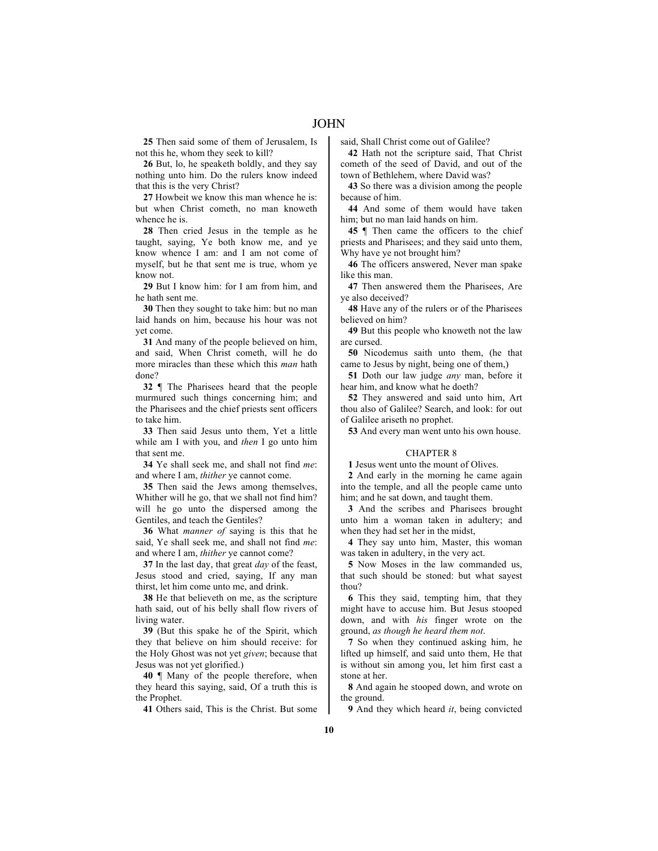**25** Then said some of them of Jerusalem, Is not this he, whom they seek to kill?

**26** But, lo, he speaketh boldly, and they say nothing unto him. Do the rulers know indeed that this is the very Christ?

**27** Howbeit we know this man whence he is: but when Christ cometh, no man knoweth whence he is.

**28** Then cried Jesus in the temple as he taught, saying, Ye both know me, and ye know whence I am: and I am not come of myself, but he that sent me is true, whom ye know not.

**29** But I know him: for I am from him, and he hath sent me.

**30** Then they sought to take him: but no man laid hands on him, because his hour was not yet come.

**31** And many of the people believed on him, and said, When Christ cometh, will he do more miracles than these which this *man* hath done?

**32** ¶ The Pharisees heard that the people murmured such things concerning him; and the Pharisees and the chief priests sent officers to take him.

**33** Then said Jesus unto them, Yet a little while am I with you, and *then* I go unto him that sent me.

**34** Ye shall seek me, and shall not find *me*: and where I am, *thither* ye cannot come.

**35** Then said the Jews among themselves, Whither will he go, that we shall not find him? will he go unto the dispersed among the Gentiles, and teach the Gentiles?

**36** What *manner of* saying is this that he said, Ye shall seek me, and shall not find *me*: and where I am, *thither* ye cannot come?

**37** In the last day, that great *day* of the feast, Jesus stood and cried, saying, If any man thirst, let him come unto me, and drink.

**38** He that believeth on me, as the scripture hath said, out of his belly shall flow rivers of living water.

**39** (But this spake he of the Spirit, which they that believe on him should receive: for the Holy Ghost was not yet *given*; because that Jesus was not yet glorified.)

**40** ¶ Many of the people therefore, when they heard this saying, said, Of a truth this is the Prophet.

**41** Others said, This is the Christ. But some

said, Shall Christ come out of Galilee?

**42** Hath not the scripture said, That Christ cometh of the seed of David, and out of the town of Bethlehem, where David was?

**43** So there was a division among the people because of him.

**44** And some of them would have taken him; but no man laid hands on him.

**45** ¶ Then came the officers to the chief priests and Pharisees; and they said unto them, Why have ye not brought him?

**46** The officers answered, Never man spake like this man.

**47** Then answered them the Pharisees, Are ye also deceived?

**48** Have any of the rulers or of the Pharisees believed on him?

**49** But this people who knoweth not the law are cursed.

**50** Nicodemus saith unto them, (he that came to Jesus by night, being one of them,)

**51** Doth our law judge *any* man, before it hear him, and know what he doeth?

**52** They answered and said unto him, Art thou also of Galilee? Search, and look: for out of Galilee ariseth no prophet.

**53** And every man went unto his own house.

## CHAPTER 8

**1** Jesus went unto the mount of Olives.

**2** And early in the morning he came again into the temple, and all the people came unto him; and he sat down, and taught them.

**3** And the scribes and Pharisees brought unto him a woman taken in adultery; and when they had set her in the midst,

**4** They say unto him, Master, this woman was taken in adultery, in the very act.

**5** Now Moses in the law commanded us, that such should be stoned: but what sayest thou?

**6** This they said, tempting him, that they might have to accuse him. But Jesus stooped down, and with *his* finger wrote on the ground, *as though he heard them not*.

**7** So when they continued asking him, he lifted up himself, and said unto them, He that is without sin among you, let him first cast a stone at her.

**8** And again he stooped down, and wrote on the ground.

**9** And they which heard *it*, being convicted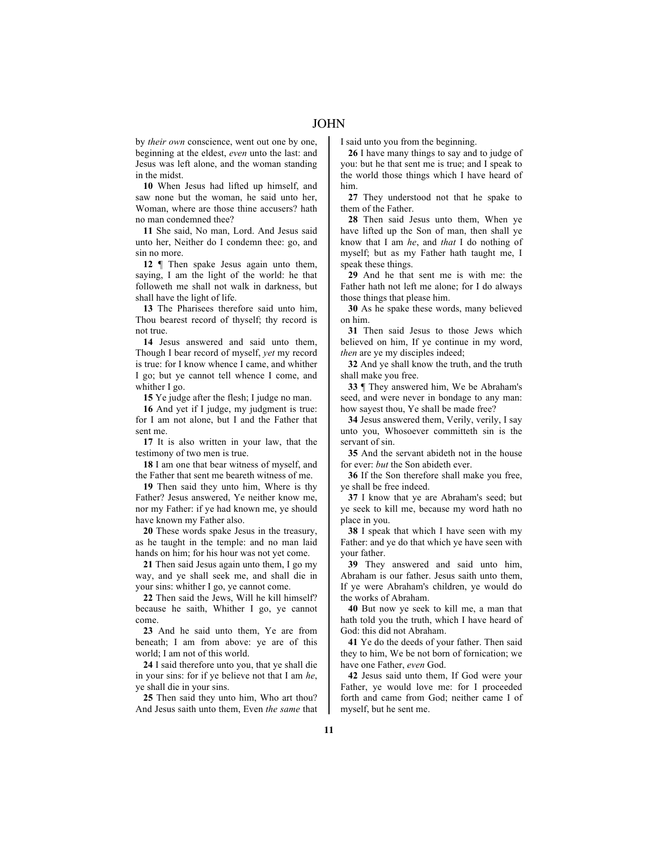by *their own* conscience, went out one by one, beginning at the eldest, *even* unto the last: and Jesus was left alone, and the woman standing in the midst.

**10** When Jesus had lifted up himself, and saw none but the woman, he said unto her, Woman, where are those thine accusers? hath no man condemned thee?

**11** She said, No man, Lord. And Jesus said unto her, Neither do I condemn thee: go, and sin no more.

**12** ¶ Then spake Jesus again unto them, saying, I am the light of the world: he that followeth me shall not walk in darkness, but shall have the light of life.

**13** The Pharisees therefore said unto him, Thou bearest record of thyself; thy record is not true.

**14** Jesus answered and said unto them, Though I bear record of myself, *yet* my record is true: for I know whence I came, and whither I go; but ye cannot tell whence I come, and whither I go.

**15** Ye judge after the flesh; I judge no man.

**16** And yet if I judge, my judgment is true: for I am not alone, but I and the Father that sent me.

**17** It is also written in your law, that the testimony of two men is true.

**18** I am one that bear witness of myself, and the Father that sent me beareth witness of me.

**19** Then said they unto him, Where is thy Father? Jesus answered, Ye neither know me, nor my Father: if ye had known me, ye should have known my Father also.

**20** These words spake Jesus in the treasury, as he taught in the temple: and no man laid hands on him; for his hour was not yet come.

**21** Then said Jesus again unto them, I go my way, and ye shall seek me, and shall die in your sins: whither I go, ye cannot come.

**22** Then said the Jews, Will he kill himself? because he saith, Whither I go, ye cannot come.

**23** And he said unto them, Ye are from beneath; I am from above: ye are of this world; I am not of this world.

**24** I said therefore unto you, that ye shall die in your sins: for if ye believe not that I am *he*, ye shall die in your sins.

**25** Then said they unto him, Who art thou? And Jesus saith unto them, Even *the same* that I said unto you from the beginning.

**26** I have many things to say and to judge of you: but he that sent me is true; and I speak to the world those things which I have heard of him.

**27** They understood not that he spake to them of the Father.

**28** Then said Jesus unto them, When ye have lifted up the Son of man, then shall ye know that I am *he*, and *that* I do nothing of myself; but as my Father hath taught me, I speak these things.

**29** And he that sent me is with me: the Father hath not left me alone; for I do always those things that please him.

**30** As he spake these words, many believed on him.

**31** Then said Jesus to those Jews which believed on him, If ye continue in my word, *then* are ye my disciples indeed;

**32** And ye shall know the truth, and the truth shall make you free.

**33** ¶ They answered him, We be Abraham's seed, and were never in bondage to any man: how sayest thou, Ye shall be made free?

**34** Jesus answered them, Verily, verily, I say unto you, Whosoever committeth sin is the servant of sin.

**35** And the servant abideth not in the house for ever: *but* the Son abideth ever.

**36** If the Son therefore shall make you free, ye shall be free indeed.

**37** I know that ye are Abraham's seed; but ye seek to kill me, because my word hath no place in you.

**38** I speak that which I have seen with my Father: and ye do that which ye have seen with your father.

**39** They answered and said unto him, Abraham is our father. Jesus saith unto them, If ye were Abraham's children, ye would do the works of Abraham.

**40** But now ye seek to kill me, a man that hath told you the truth, which I have heard of God: this did not Abraham.

**41** Ye do the deeds of your father. Then said they to him, We be not born of fornication; we have one Father, *even* God.

**42** Jesus said unto them, If God were your Father, ye would love me: for I proceeded forth and came from God; neither came I of myself, but he sent me.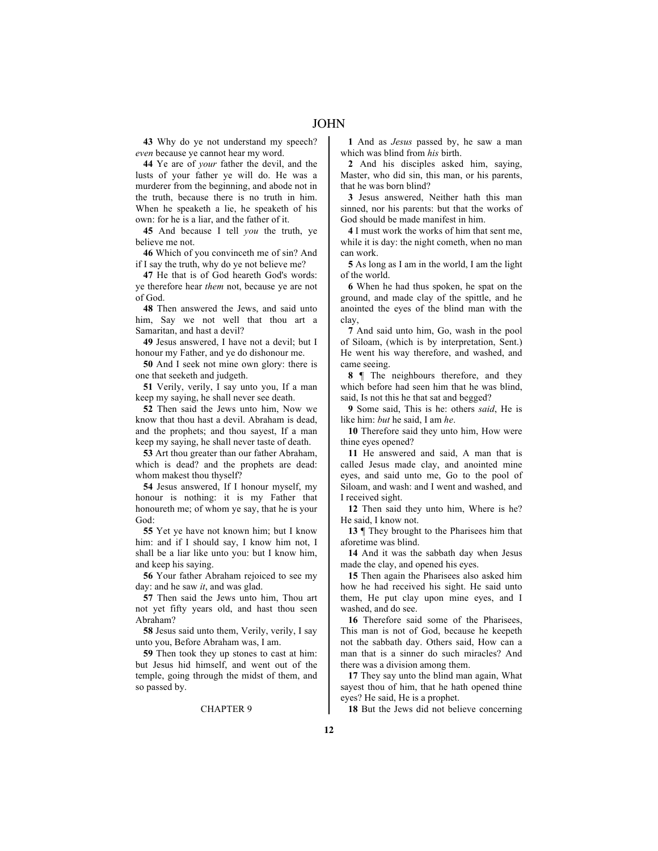**43** Why do ye not understand my speech? *even* because ye cannot hear my word.

**44** Ye are of *your* father the devil, and the lusts of your father ye will do. He was a murderer from the beginning, and abode not in the truth, because there is no truth in him. When he speaketh a lie, he speaketh of his own: for he is a liar, and the father of it.

**45** And because I tell *you* the truth, ye believe me not.

**46** Which of you convinceth me of sin? And if I say the truth, why do ye not believe me?

**47** He that is of God heareth God's words: ye therefore hear *them* not, because ye are not of God.

**48** Then answered the Jews, and said unto him, Say we not well that thou art a Samaritan, and hast a devil?

**49** Jesus answered, I have not a devil; but I honour my Father, and ye do dishonour me.

**50** And I seek not mine own glory: there is one that seeketh and judgeth.

**51** Verily, verily, I say unto you, If a man keep my saying, he shall never see death.

**52** Then said the Jews unto him, Now we know that thou hast a devil. Abraham is dead, and the prophets; and thou sayest, If a man keep my saying, he shall never taste of death.

**53** Art thou greater than our father Abraham, which is dead? and the prophets are dead: whom makest thou thyself?

**54** Jesus answered, If I honour myself, my honour is nothing: it is my Father that honoureth me; of whom ye say, that he is your God:

**55** Yet ye have not known him; but I know him: and if I should say, I know him not, I shall be a liar like unto you: but I know him, and keep his saying.

**56** Your father Abraham rejoiced to see my day: and he saw *it*, and was glad.

**57** Then said the Jews unto him, Thou art not yet fifty years old, and hast thou seen Abraham?

**58** Jesus said unto them, Verily, verily, I say unto you, Before Abraham was, I am.

**59** Then took they up stones to cast at him: but Jesus hid himself, and went out of the temple, going through the midst of them, and so passed by.

## CHAPTER 9

**1** And as *Jesus* passed by, he saw a man which was blind from *his* birth.

**2** And his disciples asked him, saying, Master, who did sin, this man, or his parents, that he was born blind?

**3** Jesus answered, Neither hath this man sinned, nor his parents: but that the works of God should be made manifest in him.

**4** I must work the works of him that sent me, while it is day: the night cometh, when no man can work.

**5** As long as I am in the world, I am the light of the world.

**6** When he had thus spoken, he spat on the ground, and made clay of the spittle, and he anointed the eyes of the blind man with the clay,

**7** And said unto him, Go, wash in the pool of Siloam, (which is by interpretation, Sent.) He went his way therefore, and washed, and came seeing.

**8** ¶ The neighbours therefore, and they which before had seen him that he was blind, said, Is not this he that sat and begged?

**9** Some said, This is he: others *said*, He is like him: *but* he said, I am *he*.

**10** Therefore said they unto him, How were thine eyes opened?

**11** He answered and said, A man that is called Jesus made clay, and anointed mine eyes, and said unto me, Go to the pool of Siloam, and wash: and I went and washed, and I received sight.

**12** Then said they unto him, Where is he? He said, I know not.

**13** ¶ They brought to the Pharisees him that aforetime was blind.

**14** And it was the sabbath day when Jesus made the clay, and opened his eyes.

**15** Then again the Pharisees also asked him how he had received his sight. He said unto them, He put clay upon mine eyes, and I washed, and do see.

**16** Therefore said some of the Pharisees, This man is not of God, because he keepeth not the sabbath day. Others said, How can a man that is a sinner do such miracles? And there was a division among them.

**17** They say unto the blind man again, What sayest thou of him, that he hath opened thine eyes? He said, He is a prophet.

**18** But the Jews did not believe concerning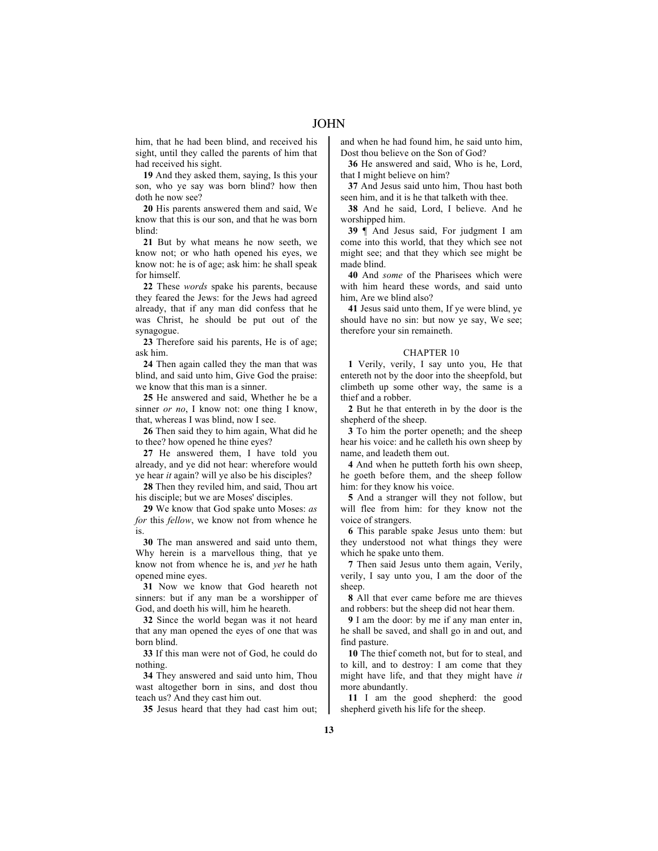him, that he had been blind, and received his sight, until they called the parents of him that had received his sight.

**19** And they asked them, saying, Is this your son, who ye say was born blind? how then doth he now see?

**20** His parents answered them and said, We know that this is our son, and that he was born blind:

**21** But by what means he now seeth, we know not; or who hath opened his eyes, we know not: he is of age; ask him: he shall speak for himself.

**22** These *words* spake his parents, because they feared the Jews: for the Jews had agreed already, that if any man did confess that he was Christ, he should be put out of the synagogue.

**23** Therefore said his parents, He is of age; ask him.

**24** Then again called they the man that was blind, and said unto him, Give God the praise: we know that this man is a sinner.

**25** He answered and said, Whether he be a sinner *or no*, I know not: one thing I know, that, whereas I was blind, now I see.

**26** Then said they to him again, What did he to thee? how opened he thine eyes?

**27** He answered them, I have told you already, and ye did not hear: wherefore would ye hear *it* again? will ye also be his disciples?

**28** Then they reviled him, and said, Thou art his disciple; but we are Moses' disciples.

**29** We know that God spake unto Moses: *as for* this *fellow*, we know not from whence he is.

**30** The man answered and said unto them, Why herein is a marvellous thing, that ye know not from whence he is, and *yet* he hath opened mine eyes.

**31** Now we know that God heareth not sinners: but if any man be a worshipper of God, and doeth his will, him he heareth.

**32** Since the world began was it not heard that any man opened the eyes of one that was born blind.

**33** If this man were not of God, he could do nothing.

**34** They answered and said unto him, Thou wast altogether born in sins, and dost thou teach us? And they cast him out.

**35** Jesus heard that they had cast him out;

and when he had found him, he said unto him, Dost thou believe on the Son of God?

**36** He answered and said, Who is he, Lord, that I might believe on him?

**37** And Jesus said unto him, Thou hast both seen him, and it is he that talketh with thee.

**38** And he said, Lord, I believe. And he worshipped him.

**39** ¶ And Jesus said, For judgment I am come into this world, that they which see not might see; and that they which see might be made blind.

**40** And *some* of the Pharisees which were with him heard these words, and said unto him, Are we blind also?

**41** Jesus said unto them, If ye were blind, ye should have no sin: but now ye say, We see; therefore your sin remaineth.

# CHAPTER 10

**1** Verily, verily, I say unto you, He that entereth not by the door into the sheepfold, but climbeth up some other way, the same is a thief and a robber.

**2** But he that entereth in by the door is the shepherd of the sheep.

**3** To him the porter openeth; and the sheep hear his voice: and he calleth his own sheep by name, and leadeth them out.

**4** And when he putteth forth his own sheep, he goeth before them, and the sheep follow him: for they know his voice.

**5** And a stranger will they not follow, but will flee from him: for they know not the voice of strangers.

**6** This parable spake Jesus unto them: but they understood not what things they were which he spake unto them.

**7** Then said Jesus unto them again, Verily, verily, I say unto you, I am the door of the sheep.

**8** All that ever came before me are thieves and robbers: but the sheep did not hear them.

**9** I am the door: by me if any man enter in, he shall be saved, and shall go in and out, and find pasture.

**10** The thief cometh not, but for to steal, and to kill, and to destroy: I am come that they might have life, and that they might have *it* more abundantly.

**11** I am the good shepherd: the good shepherd giveth his life for the sheep.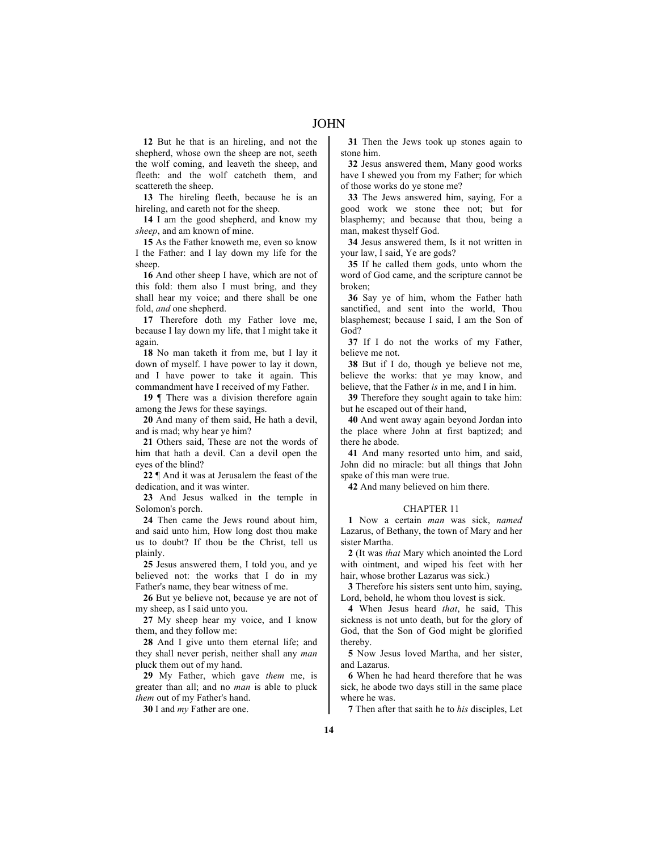**12** But he that is an hireling, and not the shepherd, whose own the sheep are not, seeth the wolf coming, and leaveth the sheep, and fleeth: and the wolf catcheth them, and scattereth the sheep.

**13** The hireling fleeth, because he is an hireling, and careth not for the sheep.

**14** I am the good shepherd, and know my *sheep*, and am known of mine.

**15** As the Father knoweth me, even so know I the Father: and I lay down my life for the sheep.

**16** And other sheep I have, which are not of this fold: them also I must bring, and they shall hear my voice; and there shall be one fold, *and* one shepherd.

**17** Therefore doth my Father love me, because I lay down my life, that I might take it again.

**18** No man taketh it from me, but I lay it down of myself. I have power to lay it down, and I have power to take it again. This commandment have I received of my Father.

**19 There** was a division therefore again among the Jews for these sayings.

**20** And many of them said, He hath a devil, and is mad; why hear ye him?

**21** Others said, These are not the words of him that hath a devil. Can a devil open the eyes of the blind?

**22** ¶ And it was at Jerusalem the feast of the dedication, and it was winter.

**23** And Jesus walked in the temple in Solomon's porch.

**24** Then came the Jews round about him, and said unto him, How long dost thou make us to doubt? If thou be the Christ, tell us plainly.

**25** Jesus answered them, I told you, and ye believed not: the works that I do in my Father's name, they bear witness of me.

**26** But ye believe not, because ye are not of my sheep, as I said unto you.

**27** My sheep hear my voice, and I know them, and they follow me:

**28** And I give unto them eternal life; and they shall never perish, neither shall any *man* pluck them out of my hand.

**29** My Father, which gave *them* me, is greater than all; and no *man* is able to pluck *them* out of my Father's hand.

**30** I and *my* Father are one.

**31** Then the Jews took up stones again to stone him.

**32** Jesus answered them, Many good works have I shewed you from my Father; for which of those works do ye stone me?

**33** The Jews answered him, saying, For a good work we stone thee not; but for blasphemy; and because that thou, being a man, makest thyself God.

**34** Jesus answered them, Is it not written in your law, I said, Ye are gods?

**35** If he called them gods, unto whom the word of God came, and the scripture cannot be broken;

**36** Say ye of him, whom the Father hath sanctified, and sent into the world, Thou blasphemest; because I said, I am the Son of God?

**37** If I do not the works of my Father, believe me not.

**38** But if I do, though ye believe not me, believe the works: that ye may know, and believe, that the Father *is* in me, and I in him.

**39** Therefore they sought again to take him: but he escaped out of their hand,

**40** And went away again beyond Jordan into the place where John at first baptized; and there he abode.

**41** And many resorted unto him, and said, John did no miracle: but all things that John spake of this man were true.

**42** And many believed on him there.

## CHAPTER 11

**1** Now a certain *man* was sick, *named* Lazarus, of Bethany, the town of Mary and her sister Martha.

**2** (It was *that* Mary which anointed the Lord with ointment, and wiped his feet with her hair, whose brother Lazarus was sick.)

**3** Therefore his sisters sent unto him, saying, Lord, behold, he whom thou lovest is sick.

**4** When Jesus heard *that*, he said, This sickness is not unto death, but for the glory of God, that the Son of God might be glorified thereby.

**5** Now Jesus loved Martha, and her sister, and Lazarus.

**6** When he had heard therefore that he was sick, he abode two days still in the same place where he was.

**7** Then after that saith he to *his* disciples, Let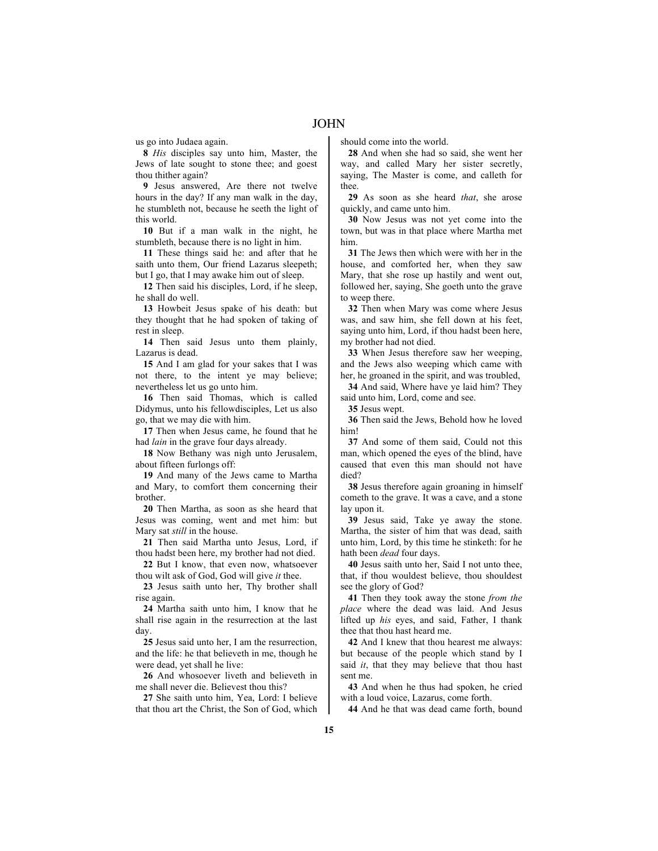us go into Judaea again.

**8** *His* disciples say unto him, Master, the Jews of late sought to stone thee; and goest thou thither again?

**9** Jesus answered, Are there not twelve hours in the day? If any man walk in the day, he stumbleth not, because he seeth the light of this world.

**10** But if a man walk in the night, he stumbleth, because there is no light in him.

**11** These things said he: and after that he saith unto them, Our friend Lazarus sleepeth; but I go, that I may awake him out of sleep.

**12** Then said his disciples, Lord, if he sleep, he shall do well.

**13** Howbeit Jesus spake of his death: but they thought that he had spoken of taking of rest in sleep.

**14** Then said Jesus unto them plainly, Lazarus is dead.

**15** And I am glad for your sakes that I was not there, to the intent ye may believe; nevertheless let us go unto him.

**16** Then said Thomas, which is called Didymus, unto his fellowdisciples, Let us also go, that we may die with him.

**17** Then when Jesus came, he found that he had *lain* in the grave four days already.

**18** Now Bethany was nigh unto Jerusalem, about fifteen furlongs off:

**19** And many of the Jews came to Martha and Mary, to comfort them concerning their brother.

**20** Then Martha, as soon as she heard that Jesus was coming, went and met him: but Mary sat *still* in the house.

**21** Then said Martha unto Jesus, Lord, if thou hadst been here, my brother had not died.

**22** But I know, that even now, whatsoever thou wilt ask of God, God will give *it* thee.

**23** Jesus saith unto her, Thy brother shall rise again.

**24** Martha saith unto him, I know that he shall rise again in the resurrection at the last day.

**25** Jesus said unto her, I am the resurrection, and the life: he that believeth in me, though he were dead, yet shall he live:

**26** And whosoever liveth and believeth in me shall never die. Believest thou this?

**27** She saith unto him, Yea, Lord: I believe that thou art the Christ, the Son of God, which should come into the world.

**28** And when she had so said, she went her way, and called Mary her sister secretly, saying, The Master is come, and calleth for thee.

**29** As soon as she heard *that*, she arose quickly, and came unto him.

**30** Now Jesus was not yet come into the town, but was in that place where Martha met him.

**31** The Jews then which were with her in the house, and comforted her, when they saw Mary, that she rose up hastily and went out, followed her, saying, She goeth unto the grave to weep there.

**32** Then when Mary was come where Jesus was, and saw him, she fell down at his feet, saying unto him, Lord, if thou hadst been here, my brother had not died.

**33** When Jesus therefore saw her weeping, and the Jews also weeping which came with her, he groaned in the spirit, and was troubled,

**34** And said, Where have ye laid him? They said unto him, Lord, come and see.

**35** Jesus wept.

**36** Then said the Jews, Behold how he loved him!

**37** And some of them said, Could not this man, which opened the eyes of the blind, have caused that even this man should not have died?

**38** Jesus therefore again groaning in himself cometh to the grave. It was a cave, and a stone lay upon it.

**39** Jesus said, Take ye away the stone. Martha, the sister of him that was dead, saith unto him, Lord, by this time he stinketh: for he hath been *dead* four days.

**40** Jesus saith unto her, Said I not unto thee, that, if thou wouldest believe, thou shouldest see the glory of God?

**41** Then they took away the stone *from the place* where the dead was laid. And Jesus lifted up *his* eyes, and said, Father, I thank thee that thou hast heard me.

**42** And I knew that thou hearest me always: but because of the people which stand by I said *it*, that they may believe that thou hast sent me.

**43** And when he thus had spoken, he cried with a loud voice, Lazarus, come forth.

**44** And he that was dead came forth, bound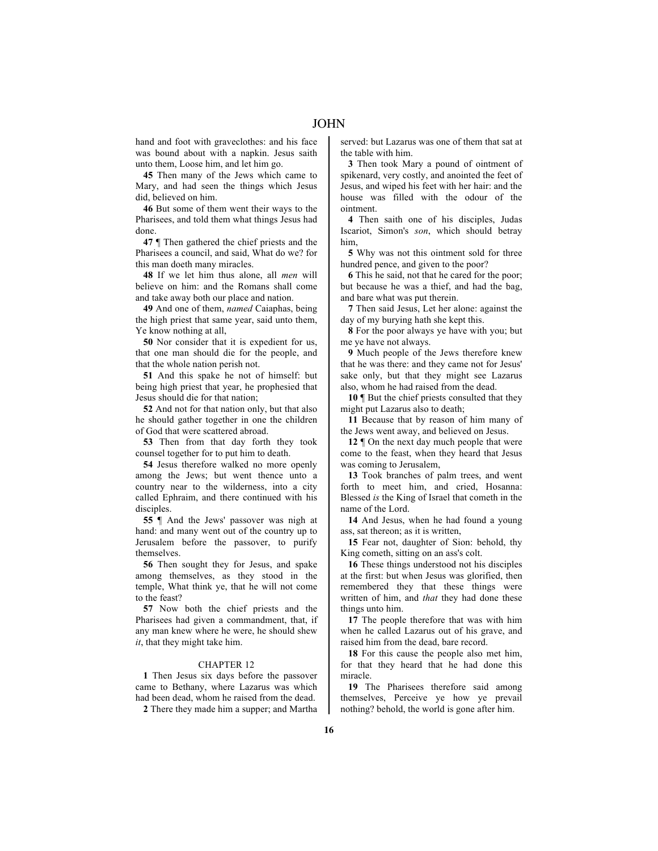hand and foot with graveclothes: and his face was bound about with a napkin. Jesus saith unto them, Loose him, and let him go.

**45** Then many of the Jews which came to Mary, and had seen the things which Jesus did, believed on him.

**46** But some of them went their ways to the Pharisees, and told them what things Jesus had done.

**47** ¶ Then gathered the chief priests and the Pharisees a council, and said, What do we? for this man doeth many miracles.

**48** If we let him thus alone, all *men* will believe on him: and the Romans shall come and take away both our place and nation.

**49** And one of them, *named* Caiaphas, being the high priest that same year, said unto them, Ye know nothing at all,

**50** Nor consider that it is expedient for us, that one man should die for the people, and that the whole nation perish not.

**51** And this spake he not of himself: but being high priest that year, he prophesied that Jesus should die for that nation;

**52** And not for that nation only, but that also he should gather together in one the children of God that were scattered abroad.

**53** Then from that day forth they took counsel together for to put him to death.

**54** Jesus therefore walked no more openly among the Jews; but went thence unto a country near to the wilderness, into a city called Ephraim, and there continued with his disciples.

**55** ¶ And the Jews' passover was nigh at hand: and many went out of the country up to Jerusalem before the passover, to purify themselves.

**56** Then sought they for Jesus, and spake among themselves, as they stood in the temple, What think ye, that he will not come to the feast?

**57** Now both the chief priests and the Pharisees had given a commandment, that, if any man knew where he were, he should shew *it*, that they might take him.

# CHAPTER 12

**1** Then Jesus six days before the passover came to Bethany, where Lazarus was which had been dead, whom he raised from the dead.

**2** There they made him a supper; and Martha

served: but Lazarus was one of them that sat at the table with him.

**3** Then took Mary a pound of ointment of spikenard, very costly, and anointed the feet of Jesus, and wiped his feet with her hair: and the house was filled with the odour of the ointment.

**4** Then saith one of his disciples, Judas Iscariot, Simon's *son*, which should betray him,

**5** Why was not this ointment sold for three hundred pence, and given to the poor?

**6** This he said, not that he cared for the poor; but because he was a thief, and had the bag, and bare what was put therein.

**7** Then said Jesus, Let her alone: against the day of my burying hath she kept this.

**8** For the poor always ye have with you; but me ye have not always.

**9** Much people of the Jews therefore knew that he was there: and they came not for Jesus' sake only, but that they might see Lazarus also, whom he had raised from the dead.

**10** ¶ But the chief priests consulted that they might put Lazarus also to death;

**11** Because that by reason of him many of the Jews went away, and believed on Jesus.

12  $\parallel$  On the next day much people that were come to the feast, when they heard that Jesus was coming to Jerusalem,

**13** Took branches of palm trees, and went forth to meet him, and cried, Hosanna: Blessed *is* the King of Israel that cometh in the name of the Lord.

**14** And Jesus, when he had found a young ass, sat thereon; as it is written,

**15** Fear not, daughter of Sion: behold, thy King cometh, sitting on an ass's colt.

**16** These things understood not his disciples at the first: but when Jesus was glorified, then remembered they that these things were written of him, and *that* they had done these things unto him.

**17** The people therefore that was with him when he called Lazarus out of his grave, and raised him from the dead, bare record.

**18** For this cause the people also met him, for that they heard that he had done this miracle.

**19** The Pharisees therefore said among themselves, Perceive ye how ye prevail nothing? behold, the world is gone after him.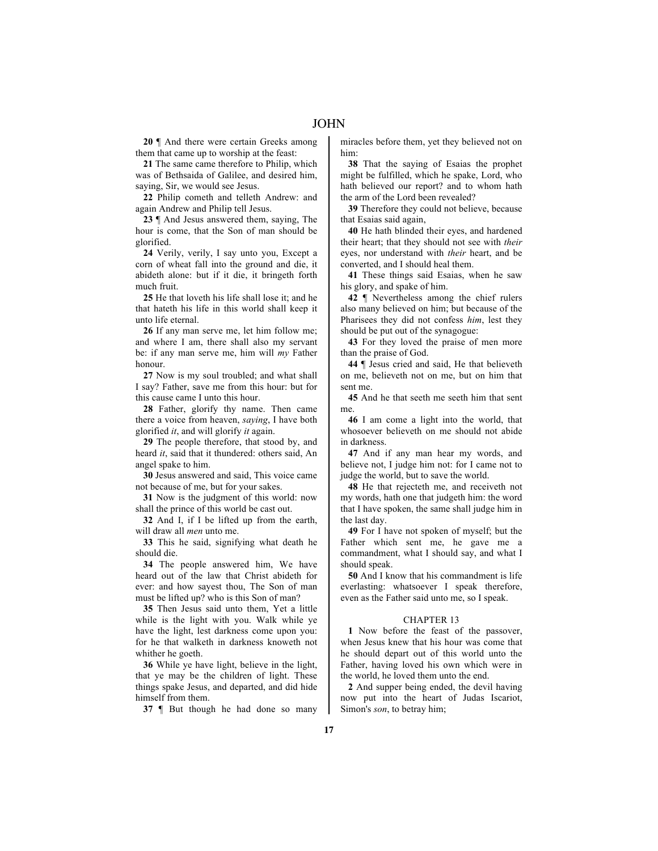**20** ¶ And there were certain Greeks among them that came up to worship at the feast:

**21** The same came therefore to Philip, which was of Bethsaida of Galilee, and desired him, saying, Sir, we would see Jesus.

**22** Philip cometh and telleth Andrew: and again Andrew and Philip tell Jesus.

**23** ¶ And Jesus answered them, saying, The hour is come, that the Son of man should be glorified.

**24** Verily, verily, I say unto you, Except a corn of wheat fall into the ground and die, it abideth alone: but if it die, it bringeth forth much fruit.

**25** He that loveth his life shall lose it; and he that hateth his life in this world shall keep it unto life eternal.

**26** If any man serve me, let him follow me; and where I am, there shall also my servant be: if any man serve me, him will *my* Father honour.

**27** Now is my soul troubled; and what shall I say? Father, save me from this hour: but for this cause came I unto this hour.

**28** Father, glorify thy name. Then came there a voice from heaven, *saying*, I have both glorified *it*, and will glorify *it* again.

**29** The people therefore, that stood by, and heard *it*, said that it thundered: others said, An angel spake to him.

**30** Jesus answered and said, This voice came not because of me, but for your sakes.

**31** Now is the judgment of this world: now shall the prince of this world be cast out.

**32** And I, if I be lifted up from the earth, will draw all *men* unto me.

**33** This he said, signifying what death he should die.

**34** The people answered him, We have heard out of the law that Christ abideth for ever: and how sayest thou, The Son of man must be lifted up? who is this Son of man?

**35** Then Jesus said unto them, Yet a little while is the light with you. Walk while ye have the light, lest darkness come upon you: for he that walketh in darkness knoweth not whither he goeth.

**36** While ye have light, believe in the light, that ye may be the children of light. These things spake Jesus, and departed, and did hide himself from them.

**37** ¶ But though he had done so many

miracles before them, yet they believed not on him:

**38** That the saying of Esaias the prophet might be fulfilled, which he spake, Lord, who hath believed our report? and to whom hath the arm of the Lord been revealed?

**39** Therefore they could not believe, because that Esaias said again,

**40** He hath blinded their eyes, and hardened their heart; that they should not see with *their* eyes, nor understand with *their* heart, and be converted, and I should heal them.

**41** These things said Esaias, when he saw his glory, and spake of him.

**42** ¶ Nevertheless among the chief rulers also many believed on him; but because of the Pharisees they did not confess *him*, lest they should be put out of the synagogue:

**43** For they loved the praise of men more than the praise of God.

**44** ¶ Jesus cried and said, He that believeth on me, believeth not on me, but on him that sent me.

**45** And he that seeth me seeth him that sent me.

**46** I am come a light into the world, that whosoever believeth on me should not abide in darkness.

**47** And if any man hear my words, and believe not, I judge him not: for I came not to judge the world, but to save the world.

**48** He that rejecteth me, and receiveth not my words, hath one that judgeth him: the word that I have spoken, the same shall judge him in the last day.

**49** For I have not spoken of myself; but the Father which sent me, he gave me a commandment, what I should say, and what I should speak.

**50** And I know that his commandment is life everlasting: whatsoever I speak therefore, even as the Father said unto me, so I speak.

# CHAPTER 13

**1** Now before the feast of the passover, when Jesus knew that his hour was come that he should depart out of this world unto the Father, having loved his own which were in the world, he loved them unto the end.

**2** And supper being ended, the devil having now put into the heart of Judas Iscariot, Simon's *son*, to betray him;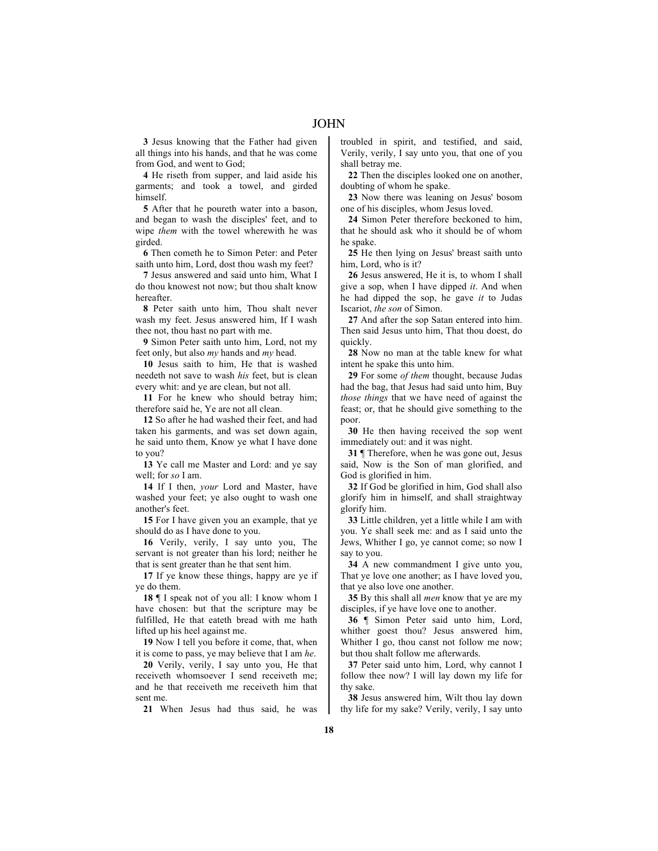**3** Jesus knowing that the Father had given all things into his hands, and that he was come from God, and went to God;

**4** He riseth from supper, and laid aside his garments; and took a towel, and girded himself.

**5** After that he poureth water into a bason, and began to wash the disciples' feet, and to wipe *them* with the towel wherewith he was girded.

**6** Then cometh he to Simon Peter: and Peter saith unto him, Lord, dost thou wash my feet?

**7** Jesus answered and said unto him, What I do thou knowest not now; but thou shalt know hereafter.

**8** Peter saith unto him, Thou shalt never wash my feet. Jesus answered him, If I wash thee not, thou hast no part with me.

**9** Simon Peter saith unto him, Lord, not my feet only, but also *my* hands and *my* head.

**10** Jesus saith to him, He that is washed needeth not save to wash *his* feet, but is clean every whit: and ye are clean, but not all.

**11** For he knew who should betray him; therefore said he, Ye are not all clean.

**12** So after he had washed their feet, and had taken his garments, and was set down again, he said unto them, Know ye what I have done to you?

**13** Ye call me Master and Lord: and ye say well; for *so* I am.

**14** If I then, *your* Lord and Master, have washed your feet; ye also ought to wash one another's feet.

**15** For I have given you an example, that ye should do as I have done to you.

**16** Verily, verily, I say unto you, The servant is not greater than his lord; neither he that is sent greater than he that sent him.

**17** If ye know these things, happy are ye if ye do them.

**18** ¶ I speak not of you all: I know whom I have chosen: but that the scripture may be fulfilled, He that eateth bread with me hath lifted up his heel against me.

**19** Now I tell you before it come, that, when it is come to pass, ye may believe that I am *he*.

**20** Verily, verily, I say unto you, He that receiveth whomsoever I send receiveth me; and he that receiveth me receiveth him that sent me.

**21** When Jesus had thus said, he was

troubled in spirit, and testified, and said, Verily, verily, I say unto you, that one of you shall betray me.

**22** Then the disciples looked one on another, doubting of whom he spake.

**23** Now there was leaning on Jesus' bosom one of his disciples, whom Jesus loved.

**24** Simon Peter therefore beckoned to him, that he should ask who it should be of whom he spake.

**25** He then lying on Jesus' breast saith unto him, Lord, who is it?

**26** Jesus answered, He it is, to whom I shall give a sop, when I have dipped *it*. And when he had dipped the sop, he gave *it* to Judas Iscariot, *the son* of Simon.

**27** And after the sop Satan entered into him. Then said Jesus unto him, That thou doest, do quickly.

**28** Now no man at the table knew for what intent he spake this unto him.

**29** For some *of them* thought, because Judas had the bag, that Jesus had said unto him, Buy *those things* that we have need of against the feast; or, that he should give something to the poor.

**30** He then having received the sop went immediately out: and it was night.

**31** ¶ Therefore, when he was gone out, Jesus said, Now is the Son of man glorified, and God is glorified in him.

**32** If God be glorified in him, God shall also glorify him in himself, and shall straightway glorify him.

**33** Little children, yet a little while I am with you. Ye shall seek me: and as I said unto the Jews, Whither I go, ye cannot come; so now I say to you.

**34** A new commandment I give unto you, That ye love one another; as I have loved you, that ye also love one another.

**35** By this shall all *men* know that ye are my disciples, if ye have love one to another.

**36** ¶ Simon Peter said unto him, Lord, whither goest thou? Jesus answered him, Whither I go, thou canst not follow me now; but thou shalt follow me afterwards.

**37** Peter said unto him, Lord, why cannot I follow thee now? I will lay down my life for thy sake.

**38** Jesus answered him, Wilt thou lay down thy life for my sake? Verily, verily, I say unto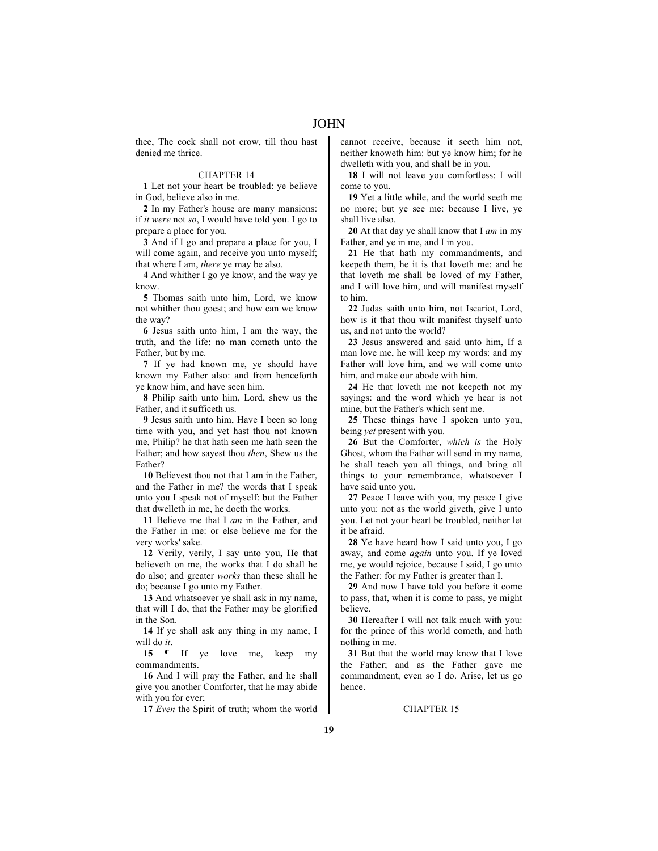thee, The cock shall not crow, till thou hast denied me thrice.

#### CHAPTER 14

**1** Let not your heart be troubled: ye believe in God, believe also in me.

**2** In my Father's house are many mansions: if *it were* not *so*, I would have told you. I go to prepare a place for you.

**3** And if I go and prepare a place for you, I will come again, and receive you unto myself; that where I am, *there* ye may be also.

**4** And whither I go ye know, and the way ye know.

**5** Thomas saith unto him, Lord, we know not whither thou goest; and how can we know the way?

**6** Jesus saith unto him, I am the way, the truth, and the life: no man cometh unto the Father, but by me.

**7** If ye had known me, ye should have known my Father also: and from henceforth ye know him, and have seen him.

**8** Philip saith unto him, Lord, shew us the Father, and it sufficeth us.

**9** Jesus saith unto him, Have I been so long time with you, and yet hast thou not known me, Philip? he that hath seen me hath seen the Father; and how sayest thou *then*, Shew us the Father?

**10** Believest thou not that I am in the Father, and the Father in me? the words that I speak unto you I speak not of myself: but the Father that dwelleth in me, he doeth the works.

**11** Believe me that I *am* in the Father, and the Father in me: or else believe me for the very works' sake.

**12** Verily, verily, I say unto you, He that believeth on me, the works that I do shall he do also; and greater *works* than these shall he do; because I go unto my Father.

**13** And whatsoever ye shall ask in my name, that will I do, that the Father may be glorified in the Son.

**14** If ye shall ask any thing in my name, I will do *it*.

**15** ¶ If ye love me, keep my commandments.

**16** And I will pray the Father, and he shall give you another Comforter, that he may abide with you for ever;

**17** *Even* the Spirit of truth; whom the world

cannot receive, because it seeth him not, neither knoweth him: but ye know him; for he dwelleth with you, and shall be in you.

**18** I will not leave you comfortless: I will come to you.

**19** Yet a little while, and the world seeth me no more; but ye see me: because I live, ye shall live also.

**20** At that day ye shall know that I *am* in my Father, and ye in me, and I in you.

**21** He that hath my commandments, and keepeth them, he it is that loveth me: and he that loveth me shall be loved of my Father, and I will love him, and will manifest myself to him.

**22** Judas saith unto him, not Iscariot, Lord, how is it that thou wilt manifest thyself unto us, and not unto the world?

**23** Jesus answered and said unto him, If a man love me, he will keep my words: and my Father will love him, and we will come unto him, and make our abode with him.

**24** He that loveth me not keepeth not my sayings: and the word which ye hear is not mine, but the Father's which sent me.

**25** These things have I spoken unto you, being *yet* present with you.

**26** But the Comforter, *which is* the Holy Ghost, whom the Father will send in my name, he shall teach you all things, and bring all things to your remembrance, whatsoever I have said unto you.

**27** Peace I leave with you, my peace I give unto you: not as the world giveth, give I unto you. Let not your heart be troubled, neither let it be afraid.

**28** Ye have heard how I said unto you, I go away, and come *again* unto you. If ye loved me, ye would rejoice, because I said, I go unto the Father: for my Father is greater than I.

**29** And now I have told you before it come to pass, that, when it is come to pass, ye might believe.

**30** Hereafter I will not talk much with you: for the prince of this world cometh, and hath nothing in me.

**31** But that the world may know that I love the Father; and as the Father gave me commandment, even so I do. Arise, let us go hence.

# CHAPTER 15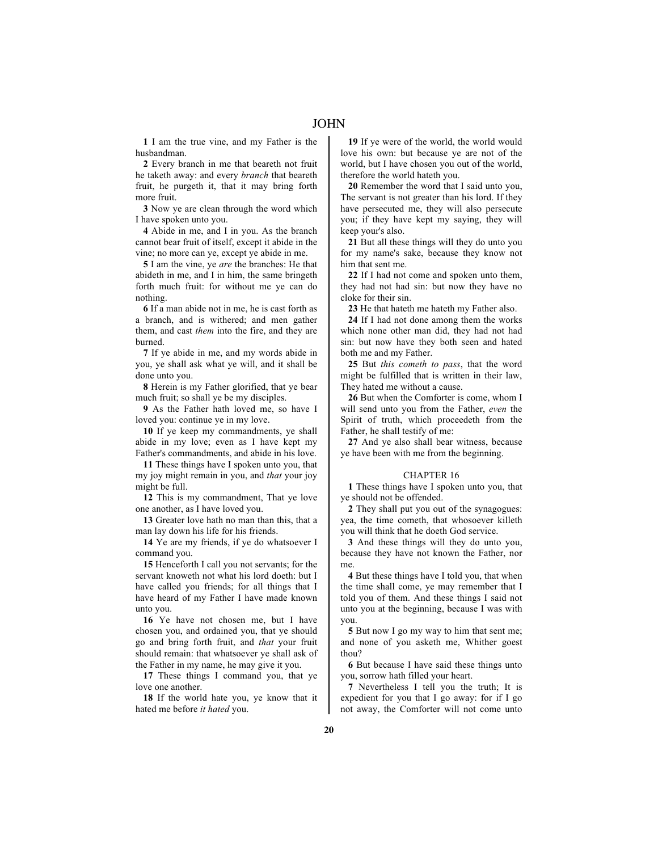**1** I am the true vine, and my Father is the husbandman.

**2** Every branch in me that beareth not fruit he taketh away: and every *branch* that beareth fruit, he purgeth it, that it may bring forth more fruit.

**3** Now ye are clean through the word which I have spoken unto you.

**4** Abide in me, and I in you. As the branch cannot bear fruit of itself, except it abide in the vine; no more can ye, except ye abide in me.

**5** I am the vine, ye *are* the branches: He that abideth in me, and I in him, the same bringeth forth much fruit: for without me ye can do nothing.

**6** If a man abide not in me, he is cast forth as a branch, and is withered; and men gather them, and cast *them* into the fire, and they are burned.

**7** If ye abide in me, and my words abide in you, ye shall ask what ye will, and it shall be done unto you.

**8** Herein is my Father glorified, that ye bear much fruit; so shall ye be my disciples.

**9** As the Father hath loved me, so have I loved you: continue ye in my love.

**10** If ye keep my commandments, ye shall abide in my love; even as I have kept my Father's commandments, and abide in his love.

**11** These things have I spoken unto you, that my joy might remain in you, and *that* your joy might be full.

**12** This is my commandment, That ye love one another, as I have loved you.

13 Greater love hath no man than this, that a man lay down his life for his friends.

**14** Ye are my friends, if ye do whatsoever I command you.

**15** Henceforth I call you not servants; for the servant knoweth not what his lord doeth: but I have called you friends; for all things that I have heard of my Father I have made known unto you.

**16** Ye have not chosen me, but I have chosen you, and ordained you, that ye should go and bring forth fruit, and *that* your fruit should remain: that whatsoever ye shall ask of the Father in my name, he may give it you.

**17** These things I command you, that ye love one another.

**18** If the world hate you, ye know that it hated me before *it hated* you.

**19** If ye were of the world, the world would love his own: but because ye are not of the world, but I have chosen you out of the world, therefore the world hateth you.

**20** Remember the word that I said unto you, The servant is not greater than his lord. If they have persecuted me, they will also persecute you; if they have kept my saying, they will keep your's also.

**21** But all these things will they do unto you for my name's sake, because they know not him that sent me.

**22** If I had not come and spoken unto them, they had not had sin: but now they have no cloke for their sin.

**23** He that hateth me hateth my Father also.

**24** If I had not done among them the works which none other man did, they had not had sin: but now have they both seen and hated both me and my Father.

**25** But *this cometh to pass*, that the word might be fulfilled that is written in their law, They hated me without a cause.

**26** But when the Comforter is come, whom I will send unto you from the Father, *even* the Spirit of truth, which proceedeth from the Father, he shall testify of me:

**27** And ye also shall bear witness, because ye have been with me from the beginning.

#### CHAPTER 16

**1** These things have I spoken unto you, that ye should not be offended.

**2** They shall put you out of the synagogues: yea, the time cometh, that whosoever killeth you will think that he doeth God service.

**3** And these things will they do unto you, because they have not known the Father, nor me.

**4** But these things have I told you, that when the time shall come, ye may remember that I told you of them. And these things I said not unto you at the beginning, because I was with you.

**5** But now I go my way to him that sent me; and none of you asketh me, Whither goest thou?

**6** But because I have said these things unto you, sorrow hath filled your heart.

**7** Nevertheless I tell you the truth; It is expedient for you that I go away: for if I go not away, the Comforter will not come unto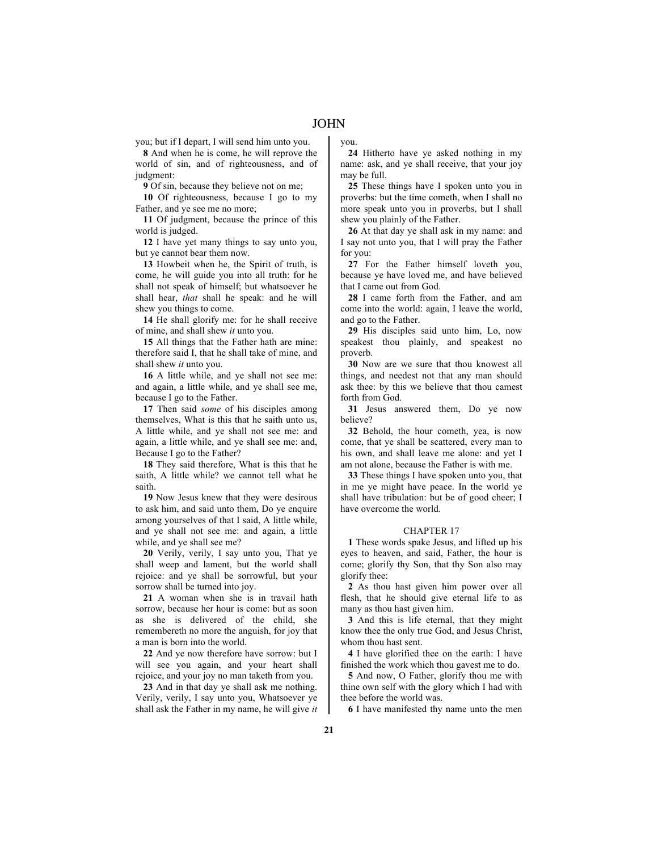you; but if I depart, I will send him unto you.

**8** And when he is come, he will reprove the world of sin, and of righteousness, and of judgment:

**9** Of sin, because they believe not on me;

**10** Of righteousness, because I go to my Father, and ye see me no more;

**11** Of judgment, because the prince of this world is judged.

**12** I have yet many things to say unto you, but ye cannot bear them now.

**13** Howbeit when he, the Spirit of truth, is come, he will guide you into all truth: for he shall not speak of himself; but whatsoever he shall hear, *that* shall he speak: and he will shew you things to come.

**14** He shall glorify me: for he shall receive of mine, and shall shew *it* unto you.

**15** All things that the Father hath are mine: therefore said I, that he shall take of mine, and shall shew *it* unto you.

**16** A little while, and ye shall not see me: and again, a little while, and ye shall see me, because I go to the Father.

**17** Then said *some* of his disciples among themselves, What is this that he saith unto us, A little while, and ye shall not see me: and again, a little while, and ye shall see me: and, Because I go to the Father?

**18** They said therefore, What is this that he saith, A little while? we cannot tell what he saith.

**19** Now Jesus knew that they were desirous to ask him, and said unto them, Do ye enquire among yourselves of that I said, A little while, and ye shall not see me: and again, a little while, and ye shall see me?

**20** Verily, verily, I say unto you, That ye shall weep and lament, but the world shall rejoice: and ye shall be sorrowful, but your sorrow shall be turned into joy.

**21** A woman when she is in travail hath sorrow, because her hour is come: but as soon as she is delivered of the child, she remembereth no more the anguish, for joy that a man is born into the world.

**22** And ye now therefore have sorrow: but I will see you again, and your heart shall rejoice, and your joy no man taketh from you.

**23** And in that day ye shall ask me nothing. Verily, verily, I say unto you, Whatsoever ye shall ask the Father in my name, he will give *it* you.

**24** Hitherto have ye asked nothing in my name: ask, and ye shall receive, that your joy may be full.

**25** These things have I spoken unto you in proverbs: but the time cometh, when I shall no more speak unto you in proverbs, but I shall shew you plainly of the Father.

**26** At that day ye shall ask in my name: and I say not unto you, that I will pray the Father for you:

**27** For the Father himself loveth you, because ye have loved me, and have believed that I came out from God.

**28** I came forth from the Father, and am come into the world: again, I leave the world, and go to the Father.

**29** His disciples said unto him, Lo, now speakest thou plainly, and speakest no proverb.

**30** Now are we sure that thou knowest all things, and needest not that any man should ask thee: by this we believe that thou camest forth from God.

**31** Jesus answered them, Do ye now believe?

**32** Behold, the hour cometh, yea, is now come, that ye shall be scattered, every man to his own, and shall leave me alone: and yet I am not alone, because the Father is with me.

**33** These things I have spoken unto you, that in me ye might have peace. In the world ye shall have tribulation: but be of good cheer; I have overcome the world.

## CHAPTER 17

**1** These words spake Jesus, and lifted up his eyes to heaven, and said, Father, the hour is come; glorify thy Son, that thy Son also may glorify thee:

**2** As thou hast given him power over all flesh, that he should give eternal life to as many as thou hast given him.

**3** And this is life eternal, that they might know thee the only true God, and Jesus Christ, whom thou hast sent.

**4** I have glorified thee on the earth: I have finished the work which thou gavest me to do.

**5** And now, O Father, glorify thou me with thine own self with the glory which I had with thee before the world was.

**6** I have manifested thy name unto the men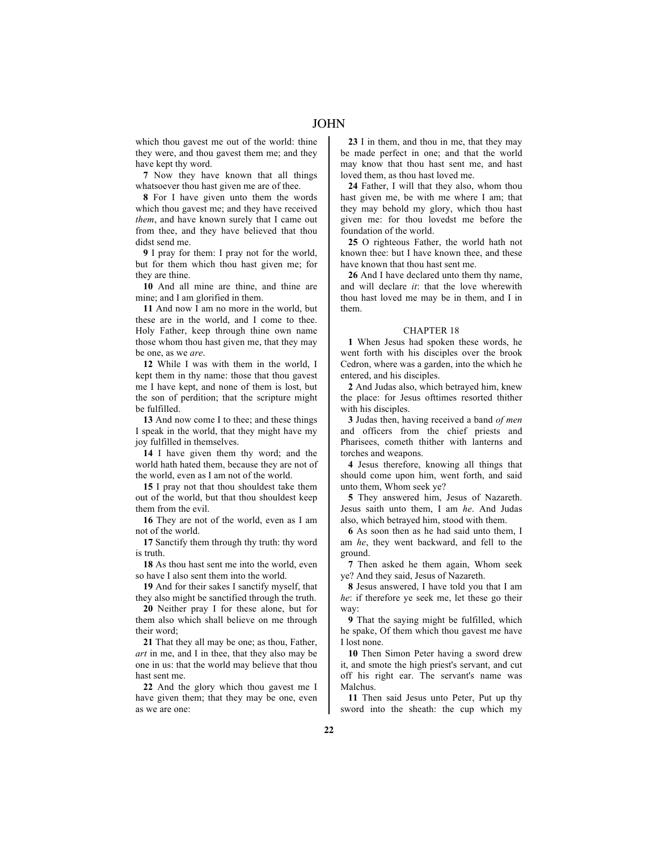which thou gavest me out of the world: thine they were, and thou gavest them me; and they have kept thy word.

**7** Now they have known that all things whatsoever thou hast given me are of thee.

**8** For I have given unto them the words which thou gavest me; and they have received *them*, and have known surely that I came out from thee, and they have believed that thou didst send me.

**9** I pray for them: I pray not for the world, but for them which thou hast given me; for they are thine.

**10** And all mine are thine, and thine are mine; and I am glorified in them.

**11** And now I am no more in the world, but these are in the world, and I come to thee. Holy Father, keep through thine own name those whom thou hast given me, that they may be one, as we *are*.

**12** While I was with them in the world, I kept them in thy name: those that thou gavest me I have kept, and none of them is lost, but the son of perdition; that the scripture might be fulfilled.

**13** And now come I to thee; and these things I speak in the world, that they might have my joy fulfilled in themselves.

**14** I have given them thy word; and the world hath hated them, because they are not of the world, even as I am not of the world.

**15** I pray not that thou shouldest take them out of the world, but that thou shouldest keep them from the evil.

**16** They are not of the world, even as I am not of the world.

**17** Sanctify them through thy truth: thy word is truth.

**18** As thou hast sent me into the world, even so have I also sent them into the world.

**19** And for their sakes I sanctify myself, that they also might be sanctified through the truth.

**20** Neither pray I for these alone, but for them also which shall believe on me through their word;

**21** That they all may be one; as thou, Father, *art* in me, and I in thee, that they also may be one in us: that the world may believe that thou hast sent me.

**22** And the glory which thou gavest me I have given them; that they may be one, even as we are one:

**23** I in them, and thou in me, that they may be made perfect in one; and that the world may know that thou hast sent me, and hast loved them, as thou hast loved me.

**24** Father, I will that they also, whom thou hast given me, be with me where I am; that they may behold my glory, which thou hast given me: for thou lovedst me before the foundation of the world.

**25** O righteous Father, the world hath not known thee: but I have known thee, and these have known that thou hast sent me.

**26** And I have declared unto them thy name, and will declare *it*: that the love wherewith thou hast loved me may be in them, and I in them.

# CHAPTER 18

**1** When Jesus had spoken these words, he went forth with his disciples over the brook Cedron, where was a garden, into the which he entered, and his disciples.

**2** And Judas also, which betrayed him, knew the place: for Jesus ofttimes resorted thither with his disciples.

**3** Judas then, having received a band *of men* and officers from the chief priests and Pharisees, cometh thither with lanterns and torches and weapons.

**4** Jesus therefore, knowing all things that should come upon him, went forth, and said unto them, Whom seek ye?

**5** They answered him, Jesus of Nazareth. Jesus saith unto them, I am *he*. And Judas also, which betrayed him, stood with them.

**6** As soon then as he had said unto them, I am *he*, they went backward, and fell to the ground.

**7** Then asked he them again, Whom seek ye? And they said, Jesus of Nazareth.

**8** Jesus answered, I have told you that I am *he*: if therefore ye seek me, let these go their way:

**9** That the saying might be fulfilled, which he spake, Of them which thou gavest me have I lost none.

**10** Then Simon Peter having a sword drew it, and smote the high priest's servant, and cut off his right ear. The servant's name was Malchus.

**11** Then said Jesus unto Peter, Put up thy sword into the sheath: the cup which my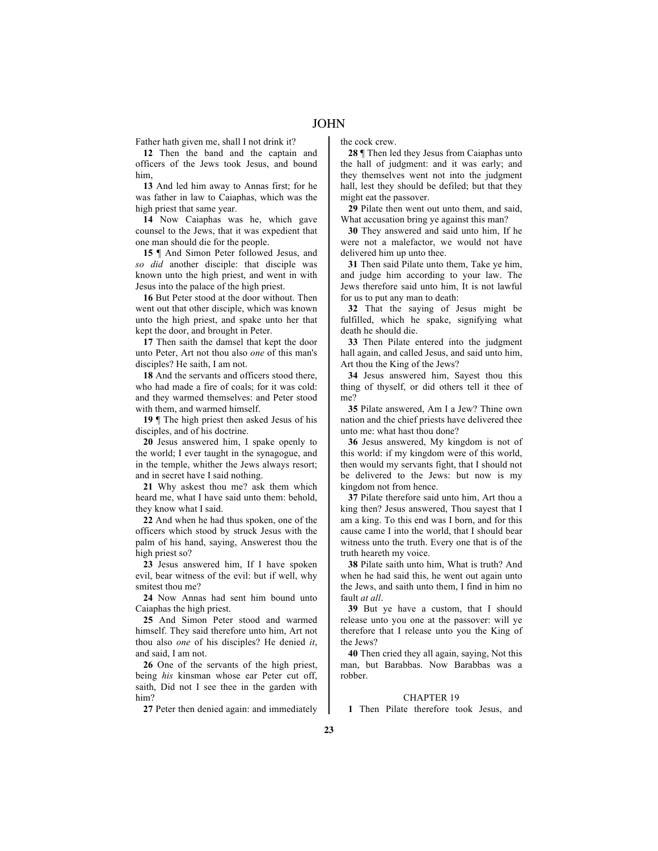Father hath given me, shall I not drink it?

**12** Then the band and the captain and officers of the Jews took Jesus, and bound him,

**13** And led him away to Annas first; for he was father in law to Caiaphas, which was the high priest that same year.

**14** Now Caiaphas was he, which gave counsel to the Jews, that it was expedient that one man should die for the people.

**15** ¶ And Simon Peter followed Jesus, and *so did* another disciple: that disciple was known unto the high priest, and went in with Jesus into the palace of the high priest.

**16** But Peter stood at the door without. Then went out that other disciple, which was known unto the high priest, and spake unto her that kept the door, and brought in Peter.

**17** Then saith the damsel that kept the door unto Peter, Art not thou also *one* of this man's disciples? He saith, I am not.

**18** And the servants and officers stood there, who had made a fire of coals; for it was cold: and they warmed themselves: and Peter stood with them, and warmed himself.

**19** ¶ The high priest then asked Jesus of his disciples, and of his doctrine.

**20** Jesus answered him, I spake openly to the world; I ever taught in the synagogue, and in the temple, whither the Jews always resort; and in secret have I said nothing.

**21** Why askest thou me? ask them which heard me, what I have said unto them: behold, they know what I said.

**22** And when he had thus spoken, one of the officers which stood by struck Jesus with the palm of his hand, saying, Answerest thou the high priest so?

**23** Jesus answered him, If I have spoken evil, bear witness of the evil: but if well, why smitest thou me?

**24** Now Annas had sent him bound unto Caiaphas the high priest.

**25** And Simon Peter stood and warmed himself. They said therefore unto him, Art not thou also *one* of his disciples? He denied *it*, and said, I am not.

**26** One of the servants of the high priest, being *his* kinsman whose ear Peter cut off, saith, Did not I see thee in the garden with him?

**27** Peter then denied again: and immediately

the cock crew.

**28** ¶ Then led they Jesus from Caiaphas unto the hall of judgment: and it was early; and they themselves went not into the judgment hall, lest they should be defiled; but that they might eat the passover.

**29** Pilate then went out unto them, and said, What accusation bring ye against this man?

**30** They answered and said unto him, If he were not a malefactor, we would not have delivered him up unto thee.

**31** Then said Pilate unto them, Take ye him, and judge him according to your law. The Jews therefore said unto him, It is not lawful for us to put any man to death:

**32** That the saying of Jesus might be fulfilled, which he spake, signifying what death he should die.

**33** Then Pilate entered into the judgment hall again, and called Jesus, and said unto him, Art thou the King of the Jews?

**34** Jesus answered him, Sayest thou this thing of thyself, or did others tell it thee of me?

**35** Pilate answered, Am I a Jew? Thine own nation and the chief priests have delivered thee unto me: what hast thou done?

**36** Jesus answered, My kingdom is not of this world: if my kingdom were of this world, then would my servants fight, that I should not be delivered to the Jews: but now is my kingdom not from hence.

**37** Pilate therefore said unto him, Art thou a king then? Jesus answered, Thou sayest that I am a king. To this end was I born, and for this cause came I into the world, that I should bear witness unto the truth. Every one that is of the truth heareth my voice.

**38** Pilate saith unto him, What is truth? And when he had said this, he went out again unto the Jews, and saith unto them, I find in him no fault *at all*.

**39** But ye have a custom, that I should release unto you one at the passover: will ye therefore that I release unto you the King of the Jews?

**40** Then cried they all again, saying, Not this man, but Barabbas. Now Barabbas was a robber.

# CHAPTER 19

**1** Then Pilate therefore took Jesus, and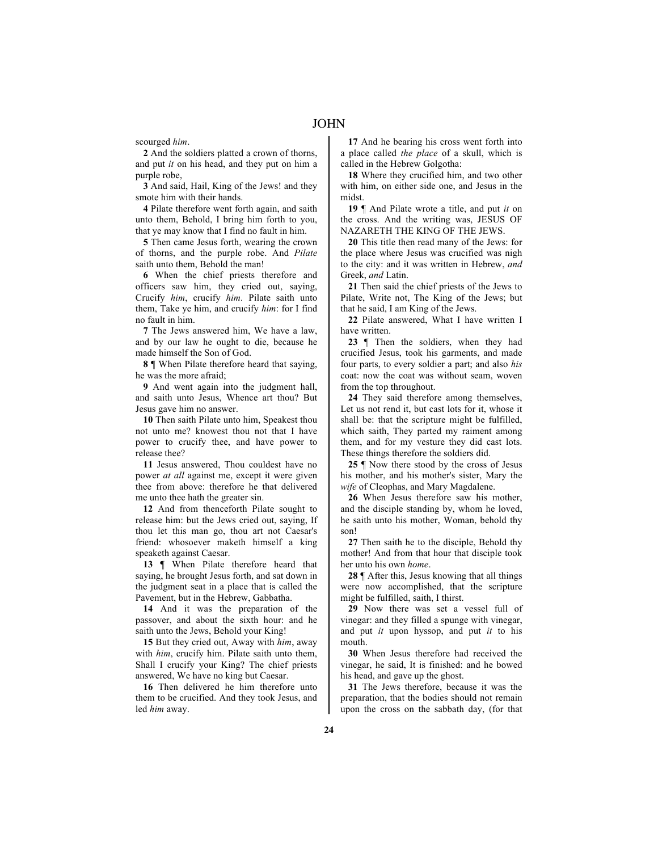JOHN

scourged *him*.

**2** And the soldiers platted a crown of thorns, and put *it* on his head, and they put on him a purple robe,

**3** And said, Hail, King of the Jews! and they smote him with their hands.

**4** Pilate therefore went forth again, and saith unto them, Behold, I bring him forth to you, that ye may know that I find no fault in him.

**5** Then came Jesus forth, wearing the crown of thorns, and the purple robe. And *Pilate* saith unto them, Behold the man!

**6** When the chief priests therefore and officers saw him, they cried out, saying, Crucify *him*, crucify *him*. Pilate saith unto them, Take ye him, and crucify *him*: for I find no fault in him.

**7** The Jews answered him, We have a law, and by our law he ought to die, because he made himself the Son of God.

**8** ¶ When Pilate therefore heard that saying, he was the more afraid;

**9** And went again into the judgment hall, and saith unto Jesus, Whence art thou? But Jesus gave him no answer.

**10** Then saith Pilate unto him, Speakest thou not unto me? knowest thou not that I have power to crucify thee, and have power to release thee?

**11** Jesus answered, Thou couldest have no power *at all* against me, except it were given thee from above: therefore he that delivered me unto thee hath the greater sin.

**12** And from thenceforth Pilate sought to release him: but the Jews cried out, saying, If thou let this man go, thou art not Caesar's friend: whosoever maketh himself a king speaketh against Caesar.

**13** ¶ When Pilate therefore heard that saying, he brought Jesus forth, and sat down in the judgment seat in a place that is called the Pavement, but in the Hebrew, Gabbatha.

**14** And it was the preparation of the passover, and about the sixth hour: and he saith unto the Jews, Behold your King!

**15** But they cried out, Away with *him*, away with *him*, crucify him. Pilate saith unto them, Shall I crucify your King? The chief priests answered, We have no king but Caesar.

**16** Then delivered he him therefore unto them to be crucified. And they took Jesus, and led *him* away.

**17** And he bearing his cross went forth into a place called *the place* of a skull, which is called in the Hebrew Golgotha:

**18** Where they crucified him, and two other with him, on either side one, and Jesus in the midst.

**19** ¶ And Pilate wrote a title, and put *it* on the cross. And the writing was, JESUS OF NAZARETH THE KING OF THE JEWS.

**20** This title then read many of the Jews: for the place where Jesus was crucified was nigh to the city: and it was written in Hebrew, *and* Greek, *and* Latin.

**21** Then said the chief priests of the Jews to Pilate, Write not, The King of the Jews; but that he said, I am King of the Jews.

**22** Pilate answered, What I have written I have written.

**23** ¶ Then the soldiers, when they had crucified Jesus, took his garments, and made four parts, to every soldier a part; and also *his* coat: now the coat was without seam, woven from the top throughout.

**24** They said therefore among themselves, Let us not rend it, but cast lots for it, whose it shall be: that the scripture might be fulfilled, which saith, They parted my raiment among them, and for my vesture they did cast lots. These things therefore the soldiers did.

**25** ¶ Now there stood by the cross of Jesus his mother, and his mother's sister, Mary the *wife* of Cleophas, and Mary Magdalene.

**26** When Jesus therefore saw his mother, and the disciple standing by, whom he loved, he saith unto his mother, Woman, behold thy son!

**27** Then saith he to the disciple, Behold thy mother! And from that hour that disciple took her unto his own *home*.

**28** ¶ After this, Jesus knowing that all things were now accomplished, that the scripture might be fulfilled, saith, I thirst.

**29** Now there was set a vessel full of vinegar: and they filled a spunge with vinegar, and put *it* upon hyssop, and put *it* to his mouth.

**30** When Jesus therefore had received the vinegar, he said, It is finished: and he bowed his head, and gave up the ghost.

**31** The Jews therefore, because it was the preparation, that the bodies should not remain upon the cross on the sabbath day, (for that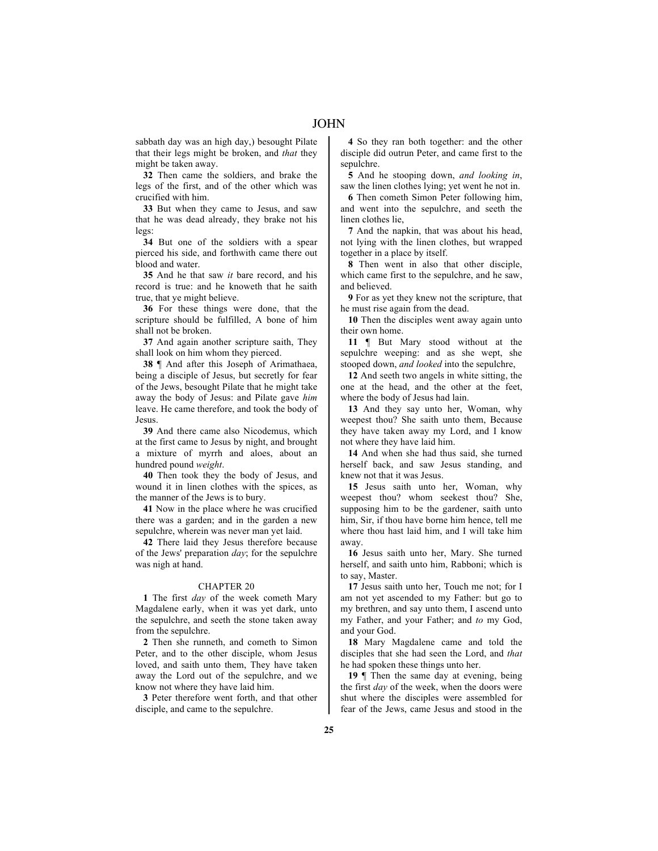sabbath day was an high day,) besought Pilate that their legs might be broken, and *that* they might be taken away.

**32** Then came the soldiers, and brake the legs of the first, and of the other which was crucified with him.

**33** But when they came to Jesus, and saw that he was dead already, they brake not his legs:

**34** But one of the soldiers with a spear pierced his side, and forthwith came there out blood and water.

**35** And he that saw *it* bare record, and his record is true: and he knoweth that he saith true, that ye might believe.

**36** For these things were done, that the scripture should be fulfilled, A bone of him shall not be broken.

**37** And again another scripture saith, They shall look on him whom they pierced.

**38** ¶ And after this Joseph of Arimathaea, being a disciple of Jesus, but secretly for fear of the Jews, besought Pilate that he might take away the body of Jesus: and Pilate gave *him* leave. He came therefore, and took the body of Jesus.

**39** And there came also Nicodemus, which at the first came to Jesus by night, and brought a mixture of myrrh and aloes, about an hundred pound *weight*.

**40** Then took they the body of Jesus, and wound it in linen clothes with the spices, as the manner of the Jews is to bury.

**41** Now in the place where he was crucified there was a garden; and in the garden a new sepulchre, wherein was never man yet laid.

**42** There laid they Jesus therefore because of the Jews' preparation *day*; for the sepulchre was nigh at hand.

## CHAPTER 20

**1** The first *day* of the week cometh Mary Magdalene early, when it was yet dark, unto the sepulchre, and seeth the stone taken away from the sepulchre.

**2** Then she runneth, and cometh to Simon Peter, and to the other disciple, whom Jesus loved, and saith unto them, They have taken away the Lord out of the sepulchre, and we know not where they have laid him.

**3** Peter therefore went forth, and that other disciple, and came to the sepulchre.

**4** So they ran both together: and the other disciple did outrun Peter, and came first to the sepulchre.

**5** And he stooping down, *and looking in*, saw the linen clothes lying; yet went he not in.

**6** Then cometh Simon Peter following him, and went into the sepulchre, and seeth the linen clothes lie,

**7** And the napkin, that was about his head, not lying with the linen clothes, but wrapped together in a place by itself.

**8** Then went in also that other disciple, which came first to the sepulchre, and he saw, and believed.

**9** For as yet they knew not the scripture, that he must rise again from the dead.

**10** Then the disciples went away again unto their own home.

**11** ¶ But Mary stood without at the sepulchre weeping: and as she wept, she stooped down, *and looked* into the sepulchre,

**12** And seeth two angels in white sitting, the one at the head, and the other at the feet, where the body of Jesus had lain.

**13** And they say unto her, Woman, why weepest thou? She saith unto them, Because they have taken away my Lord, and I know not where they have laid him.

**14** And when she had thus said, she turned herself back, and saw Jesus standing, and knew not that it was Jesus.

**15** Jesus saith unto her, Woman, why weepest thou? whom seekest thou? She, supposing him to be the gardener, saith unto him, Sir, if thou have borne him hence, tell me where thou hast laid him, and I will take him away.

**16** Jesus saith unto her, Mary. She turned herself, and saith unto him, Rabboni; which is to say, Master.

**17** Jesus saith unto her, Touch me not; for I am not yet ascended to my Father: but go to my brethren, and say unto them, I ascend unto my Father, and your Father; and *to* my God, and your God.

**18** Mary Magdalene came and told the disciples that she had seen the Lord, and *that* he had spoken these things unto her.

**19**  $\blacksquare$  Then the same day at evening, being the first *day* of the week, when the doors were shut where the disciples were assembled for fear of the Jews, came Jesus and stood in the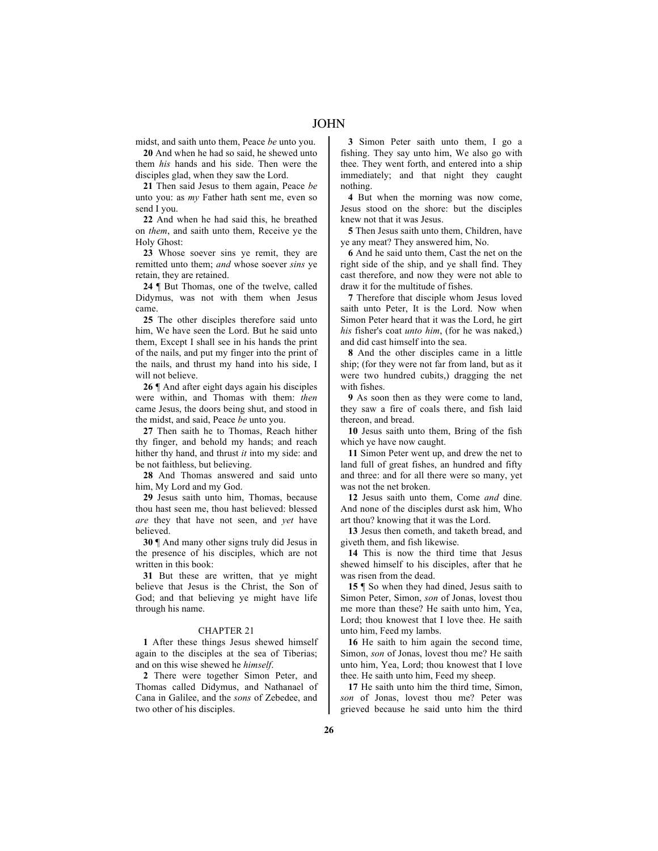midst, and saith unto them, Peace *be* unto you.

**20** And when he had so said, he shewed unto them *his* hands and his side. Then were the disciples glad, when they saw the Lord.

**21** Then said Jesus to them again, Peace *be* unto you: as *my* Father hath sent me, even so send I you.

**22** And when he had said this, he breathed on *them*, and saith unto them, Receive ye the Holy Ghost:

**23** Whose soever sins ye remit, they are remitted unto them; *and* whose soever *sins* ye retain, they are retained.

**24** ¶ But Thomas, one of the twelve, called Didymus, was not with them when Jesus came.

**25** The other disciples therefore said unto him, We have seen the Lord. But he said unto them, Except I shall see in his hands the print of the nails, and put my finger into the print of the nails, and thrust my hand into his side, I will not believe.

**26** ¶ And after eight days again his disciples were within, and Thomas with them: *then* came Jesus, the doors being shut, and stood in the midst, and said, Peace *be* unto you.

**27** Then saith he to Thomas, Reach hither thy finger, and behold my hands; and reach hither thy hand, and thrust *it* into my side: and be not faithless, but believing.

**28** And Thomas answered and said unto him, My Lord and my God.

**29** Jesus saith unto him, Thomas, because thou hast seen me, thou hast believed: blessed *are* they that have not seen, and *yet* have believed.

**30** ¶ And many other signs truly did Jesus in the presence of his disciples, which are not written in this book:

**31** But these are written, that ye might believe that Jesus is the Christ, the Son of God; and that believing ye might have life through his name.

# CHAPTER 21

**1** After these things Jesus shewed himself again to the disciples at the sea of Tiberias; and on this wise shewed he *himself*.

**2** There were together Simon Peter, and Thomas called Didymus, and Nathanael of Cana in Galilee, and the *sons* of Zebedee, and two other of his disciples.

**3** Simon Peter saith unto them, I go a fishing. They say unto him, We also go with thee. They went forth, and entered into a ship immediately; and that night they caught nothing.

**4** But when the morning was now come, Jesus stood on the shore: but the disciples knew not that it was Jesus.

**5** Then Jesus saith unto them, Children, have ye any meat? They answered him, No.

**6** And he said unto them, Cast the net on the right side of the ship, and ye shall find. They cast therefore, and now they were not able to draw it for the multitude of fishes.

**7** Therefore that disciple whom Jesus loved saith unto Peter, It is the Lord. Now when Simon Peter heard that it was the Lord, he girt *his* fisher's coat *unto him*, (for he was naked,) and did cast himself into the sea.

**8** And the other disciples came in a little ship; (for they were not far from land, but as it were two hundred cubits,) dragging the net with fishes.

**9** As soon then as they were come to land, they saw a fire of coals there, and fish laid thereon, and bread.

**10** Jesus saith unto them, Bring of the fish which ye have now caught.

**11** Simon Peter went up, and drew the net to land full of great fishes, an hundred and fifty and three: and for all there were so many, yet was not the net broken.

**12** Jesus saith unto them, Come *and* dine. And none of the disciples durst ask him, Who art thou? knowing that it was the Lord.

**13** Jesus then cometh, and taketh bread, and giveth them, and fish likewise.

**14** This is now the third time that Jesus shewed himself to his disciples, after that he was risen from the dead.

**15** ¶ So when they had dined, Jesus saith to Simon Peter, Simon, *son* of Jonas, lovest thou me more than these? He saith unto him, Yea, Lord; thou knowest that I love thee. He saith unto him, Feed my lambs.

**16** He saith to him again the second time, Simon, *son* of Jonas, lovest thou me? He saith unto him, Yea, Lord; thou knowest that I love thee. He saith unto him, Feed my sheep.

**17** He saith unto him the third time, Simon, *son* of Jonas, lovest thou me? Peter was grieved because he said unto him the third